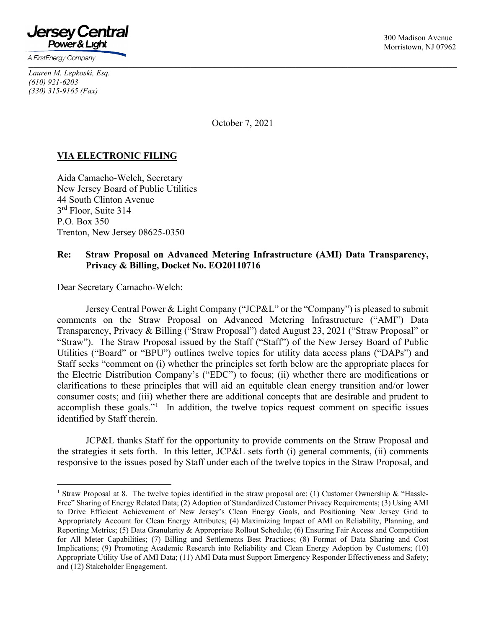

 $\Box$  is a company

*Lauren M. Lepkoski, Esq. (610) 921-6203 (330) 315-9165 (Fax)*

October 7, 2021

# **VIA ELECTRONIC FILING**

Aida Camacho-Welch, Secretary New Jersey Board of Public Utilities 44 South Clinton Avenue 3<sup>rd</sup> Floor, Suite 314 P.O. Box 350 Trenton, New Jersey 08625-0350

### **Re: Straw Proposal on Advanced Metering Infrastructure (AMI) Data Transparency, Privacy & Billing, Docket No. EO20110716**

Dear Secretary Camacho-Welch:

Jersey Central Power & Light Company ("JCP&L" or the "Company") is pleased to submit comments on the Straw Proposal on Advanced Metering Infrastructure ("AMI") Data Transparency, Privacy & Billing ("Straw Proposal") dated August 23, 2021 ("Straw Proposal" or "Straw"). The Straw Proposal issued by the Staff ("Staff") of the New Jersey Board of Public Utilities ("Board" or "BPU") outlines twelve topics for utility data access plans ("DAPs") and Staff seeks "comment on (i) whether the principles set forth below are the appropriate places for the Electric Distribution Company's ("EDC") to focus; (ii) whether there are modifications or clarifications to these principles that will aid an equitable clean energy transition and/or lower consumer costs; and (iii) whether there are additional concepts that are desirable and prudent to accomplish these goals."<sup>[1](#page-0-0)</sup> In addition, the twelve topics request comment on specific issues identified by Staff therein.

JCP&L thanks Staff for the opportunity to provide comments on the Straw Proposal and the strategies it sets forth. In this letter, JCP&L sets forth (i) general comments, (ii) comments responsive to the issues posed by Staff under each of the twelve topics in the Straw Proposal, and

<span id="page-0-0"></span><sup>&</sup>lt;sup>1</sup> Straw Proposal at 8. The twelve topics identified in the straw proposal are: (1) Customer Ownership & "Hassle-Free" Sharing of Energy Related Data; (2) Adoption of Standardized Customer Privacy Requirements; (3) Using AMI to Drive Efficient Achievement of New Jersey's Clean Energy Goals, and Positioning New Jersey Grid to Appropriately Account for Clean Energy Attributes; (4) Maximizing Impact of AMI on Reliability, Planning, and Reporting Metrics; (5) Data Granularity & Appropriate Rollout Schedule; (6) Ensuring Fair Access and Competition for All Meter Capabilities; (7) Billing and Settlements Best Practices; (8) Format of Data Sharing and Cost Implications; (9) Promoting Academic Research into Reliability and Clean Energy Adoption by Customers; (10) Appropriate Utility Use of AMI Data; (11) AMI Data must Support Emergency Responder Effectiveness and Safety; and (12) Stakeholder Engagement.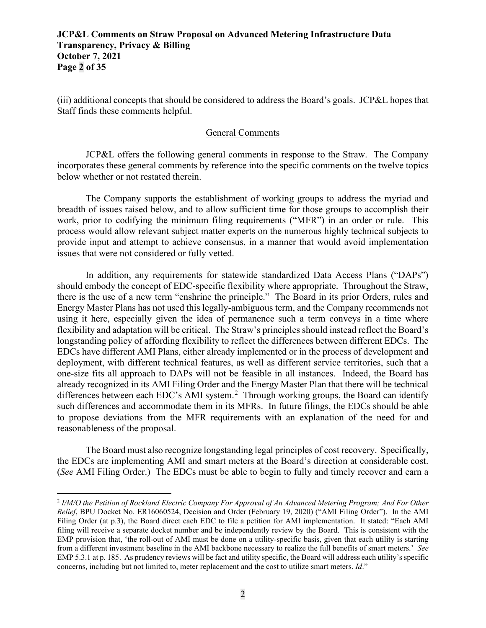### **JCP&L Comments on Straw Proposal on Advanced Metering Infrastructure Data Transparency, Privacy & Billing October 7, 2021 Page 2 of 35**

(iii) additional concepts that should be considered to address the Board's goals. JCP&L hopes that Staff finds these comments helpful.

#### General Comments

JCP&L offers the following general comments in response to the Straw. The Company incorporates these general comments by reference into the specific comments on the twelve topics below whether or not restated therein.

The Company supports the establishment of working groups to address the myriad and breadth of issues raised below, and to allow sufficient time for those groups to accomplish their work, prior to codifying the minimum filing requirements ("MFR") in an order or rule. This process would allow relevant subject matter experts on the numerous highly technical subjects to provide input and attempt to achieve consensus, in a manner that would avoid implementation issues that were not considered or fully vetted.

In addition, any requirements for statewide standardized Data Access Plans ("DAPs") should embody the concept of EDC-specific flexibility where appropriate. Throughout the Straw, there is the use of a new term "enshrine the principle." The Board in its prior Orders, rules and Energy Master Plans has not used this legally-ambiguous term, and the Company recommends not using it here, especially given the idea of permanence such a term conveys in a time where flexibility and adaptation will be critical. The Straw's principles should instead reflect the Board's longstanding policy of affording flexibility to reflect the differences between different EDCs. The EDCs have different AMI Plans, either already implemented or in the process of development and deployment, with different technical features, as well as different service territories, such that a one-size fits all approach to DAPs will not be feasible in all instances. Indeed, the Board has already recognized in its AMI Filing Order and the Energy Master Plan that there will be technical differences between each EDC's AMI system.<sup>[2](#page-1-0)</sup> Through working groups, the Board can identify such differences and accommodate them in its MFRs. In future filings, the EDCs should be able to propose deviations from the MFR requirements with an explanation of the need for and reasonableness of the proposal.

The Board must also recognize longstanding legal principles of cost recovery. Specifically, the EDCs are implementing AMI and smart meters at the Board's direction at considerable cost. (*See* AMI Filing Order.) The EDCs must be able to begin to fully and timely recover and earn a

<span id="page-1-0"></span><sup>2</sup> *I/M/O the Petition of Rockland Electric Company For Approval of An Advanced Metering Program; And For Other Relief*, BPU Docket No. ER16060524, Decision and Order (February 19, 2020) ("AMI Filing Order"). In the AMI Filing Order (at p.3), the Board direct each EDC to file a petition for AMI implementation. It stated: "Each AMI filing will receive a separate docket number and be independently review by the Board. This is consistent with the EMP provision that, 'the roll-out of AMI must be done on a utility-specific basis, given that each utility is starting from a different investment baseline in the AMI backbone necessary to realize the full benefits of smart meters.' *See* EMP 5.3.1 at p. 185. As prudency reviews will be fact and utility specific, the Board will address each utility's specific concerns, including but not limited to, meter replacement and the cost to utilize smart meters. *Id*."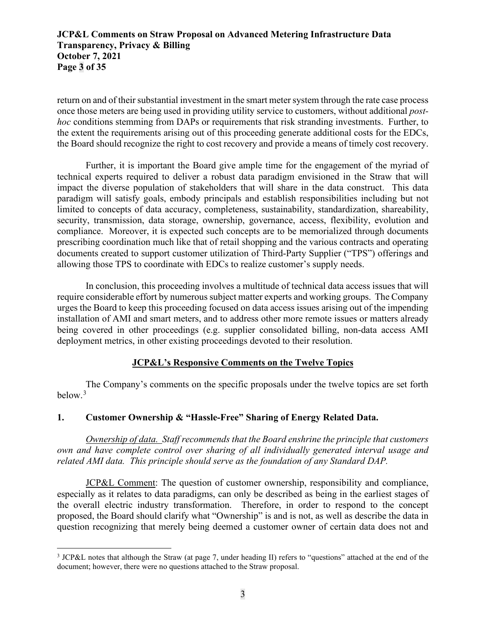# **JCP&L Comments on Straw Proposal on Advanced Metering Infrastructure Data Transparency, Privacy & Billing October 7, 2021 Page 3 of 35**

return on and of their substantial investment in the smart metersystem through the rate case process once those meters are being used in providing utility service to customers, without additional *posthoc* conditions stemming from DAPs or requirements that risk stranding investments. Further, to the extent the requirements arising out of this proceeding generate additional costs for the EDCs, the Board should recognize the right to cost recovery and provide a means of timely cost recovery.

Further, it is important the Board give ample time for the engagement of the myriad of technical experts required to deliver a robust data paradigm envisioned in the Straw that will impact the diverse population of stakeholders that will share in the data construct. This data paradigm will satisfy goals, embody principals and establish responsibilities including but not limited to concepts of data accuracy, completeness, sustainability, standardization, shareability, security, transmission, data storage, ownership, governance, access, flexibility, evolution and compliance. Moreover, it is expected such concepts are to be memorialized through documents prescribing coordination much like that of retail shopping and the various contracts and operating documents created to support customer utilization of Third-Party Supplier ("TPS") offerings and allowing those TPS to coordinate with EDCs to realize customer's supply needs.

In conclusion, this proceeding involves a multitude of technical data access issues that will require considerable effort by numerous subject matter experts and working groups. The Company urges the Board to keep this proceeding focused on data access issues arising out of the impending installation of AMI and smart meters, and to address other more remote issues or matters already being covered in other proceedings (e.g. supplier consolidated billing, non-data access AMI deployment metrics, in other existing proceedings devoted to their resolution.

# **JCP&L's Responsive Comments on the Twelve Topics**

The Company's comments on the specific proposals under the twelve topics are set forth below.<sup>[3](#page-2-0)</sup>

#### **1. Customer Ownership & "Hassle-Free" Sharing of Energy Related Data.**

*Ownership of data. Staff recommends that the Board enshrine the principle that customers own and have complete control over sharing of all individually generated interval usage and related AMI data. This principle should serve as the foundation of any Standard DAP.*

JCP&L Comment: The question of customer ownership, responsibility and compliance, especially as it relates to data paradigms, can only be described as being in the earliest stages of the overall electric industry transformation. Therefore, in order to respond to the concept proposed, the Board should clarify what "Ownership" is and is not, as well as describe the data in question recognizing that merely being deemed a customer owner of certain data does not and

<span id="page-2-0"></span><sup>&</sup>lt;sup>3</sup> JCP&L notes that although the Straw (at page 7, under heading II) refers to "questions" attached at the end of the document; however, there were no questions attached to the Straw proposal.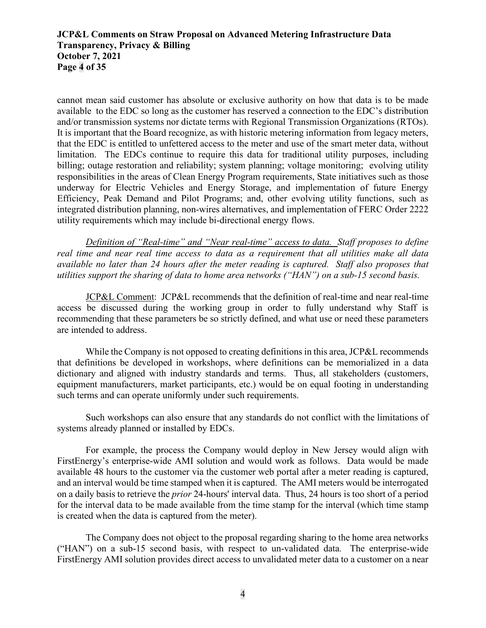# **JCP&L Comments on Straw Proposal on Advanced Metering Infrastructure Data Transparency, Privacy & Billing October 7, 2021 Page 4 of 35**

cannot mean said customer has absolute or exclusive authority on how that data is to be made available to the EDC so long as the customer has reserved a connection to the EDC's distribution and/or transmission systems nor dictate terms with Regional Transmission Organizations (RTOs). It is important that the Board recognize, as with historic metering information from legacy meters, that the EDC is entitled to unfettered access to the meter and use of the smart meter data, without limitation. The EDCs continue to require this data for traditional utility purposes, including billing; outage restoration and reliability; system planning; voltage monitoring; evolving utility responsibilities in the areas of Clean Energy Program requirements, State initiatives such as those underway for Electric Vehicles and Energy Storage, and implementation of future Energy Efficiency, Peak Demand and Pilot Programs; and, other evolving utility functions, such as integrated distribution planning, non-wires alternatives, and implementation of FERC Order 2222 utility requirements which may include bi-directional energy flows.

*Definition of "Real-time" and "Near real-time" access to data. Staff proposes to define real time and near real time access to data as a requirement that all utilities make all data available no later than 24 hours after the meter reading is captured. Staff also proposes that utilities support the sharing of data to home area networks ("HAN") on a sub-15 second basis.* 

JCP&L Comment: JCP&L recommends that the definition of real-time and near real-time access be discussed during the working group in order to fully understand why Staff is recommending that these parameters be so strictly defined, and what use or need these parameters are intended to address.

While the Company is not opposed to creating definitions in this area, JCP&L recommends that definitions be developed in workshops, where definitions can be memorialized in a data dictionary and aligned with industry standards and terms. Thus, all stakeholders (customers, equipment manufacturers, market participants, etc.) would be on equal footing in understanding such terms and can operate uniformly under such requirements.

Such workshops can also ensure that any standards do not conflict with the limitations of systems already planned or installed by EDCs.

For example, the process the Company would deploy in New Jersey would align with FirstEnergy's enterprise-wide AMI solution and would work as follows. Data would be made available 48 hours to the customer via the customer web portal after a meter reading is captured, and an interval would be time stamped when it is captured. The AMI meters would be interrogated on a daily basis to retrieve the *prior* 24-hours' interval data. Thus, 24 hours is too short of a period for the interval data to be made available from the time stamp for the interval (which time stamp is created when the data is captured from the meter).

The Company does not object to the proposal regarding sharing to the home area networks ("HAN") on a sub-15 second basis, with respect to un-validated data. The enterprise-wide FirstEnergy AMI solution provides direct access to unvalidated meter data to a customer on a near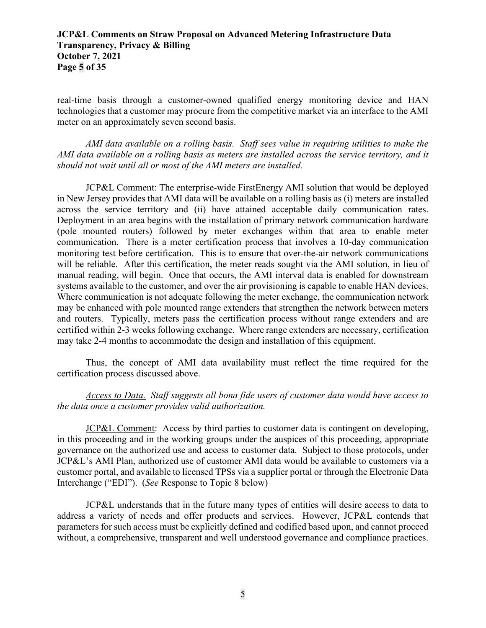# **JCP&L Comments on Straw Proposal on Advanced Metering Infrastructure Data Transparency, Privacy & Billing October 7, 2021 Page 5 of 35**

real-time basis through a customer-owned qualified energy monitoring device and HAN technologies that a customer may procure from the competitive market via an interface to the AMI meter on an approximately seven second basis.

*AMI data available on a rolling basis. Staff sees value in requiring utilities to make the AMI data available on a rolling basis as meters are installed across the service territory, and it should not wait until all or most of the AMI meters are installed.*

JCP&L Comment: The enterprise-wide FirstEnergy AMI solution that would be deployed in New Jersey provides that AMI data will be available on a rolling basis as (i) meters are installed across the service territory and (ii) have attained acceptable daily communication rates. Deployment in an area begins with the installation of primary network communication hardware (pole mounted routers) followed by meter exchanges within that area to enable meter communication. There is a meter certification process that involves a 10-day communication monitoring test before certification. This is to ensure that over-the-air network communications will be reliable. After this certification, the meter reads sought via the AMI solution, in lieu of manual reading, will begin. Once that occurs, the AMI interval data is enabled for downstream systems available to the customer, and over the air provisioning is capable to enable HAN devices. Where communication is not adequate following the meter exchange, the communication network may be enhanced with pole mounted range extenders that strengthen the network between meters and routers. Typically, meters pass the certification process without range extenders and are certified within 2-3 weeks following exchange. Where range extenders are necessary, certification may take 2-4 months to accommodate the design and installation of this equipment.

Thus, the concept of AMI data availability must reflect the time required for the certification process discussed above.

#### *Access to Data. Staff suggests all bona fide users of customer data would have access to the data once a customer provides valid authorization.*

JCP&L Comment: Access by third parties to customer data is contingent on developing, in this proceeding and in the working groups under the auspices of this proceeding, appropriate governance on the authorized use and access to customer data. Subject to those protocols, under JCP&L's AMI Plan, authorized use of customer AMI data would be available to customers via a customer portal, and available to licensed TPSs via a supplier portal or through the Electronic Data Interchange ("EDI"). (*See* Response to Topic 8 below)

JCP&L understands that in the future many types of entities will desire access to data to address a variety of needs and offer products and services. However, JCP&L contends that parameters for such access must be explicitly defined and codified based upon, and cannot proceed without, a comprehensive, transparent and well understood governance and compliance practices.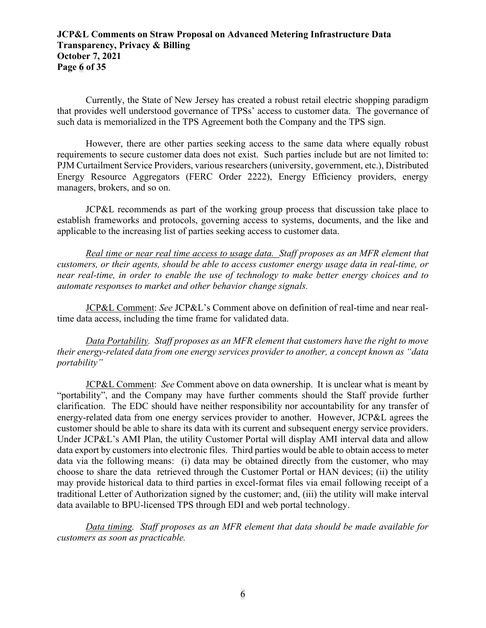# **JCP&L Comments on Straw Proposal on Advanced Metering Infrastructure Data Transparency, Privacy & Billing October 7, 2021 Page 6 of 35**

Currently, the State of New Jersey has created a robust retail electric shopping paradigm that provides well understood governance of TPSs' access to customer data. The governance of such data is memorialized in the TPS Agreement both the Company and the TPS sign.

However, there are other parties seeking access to the same data where equally robust requirements to secure customer data does not exist. Such parties include but are not limited to: PJM Curtailment Service Providers, various researchers (university, government, etc.), Distributed Energy Resource Aggregators (FERC Order 2222), Energy Efficiency providers, energy managers, brokers, and so on.

JCP&L recommends as part of the working group process that discussion take place to establish frameworks and protocols, governing access to systems, documents, and the like and applicable to the increasing list of parties seeking access to customer data.

*Real time or near real time access to usage data. Staff proposes as an MFR element that customers, or their agents, should be able to access customer energy usage data in real-time, or near real-time, in order to enable the use of technology to make better energy choices and to automate responses to market and other behavior change signals.*

JCP&L Comment: *See* JCP&L's Comment above on definition of real-time and near realtime data access, including the time frame for validated data.

*Data Portability. Staff proposes as an MFR element that* c*ustomers have the right to move their energy-related data from one energy services provider to another, a concept known as "data portability"*

JCP&L Comment: *See* Comment above on data ownership. It is unclear what is meant by "portability", and the Company may have further comments should the Staff provide further clarification. The EDC should have neither responsibility nor accountability for any transfer of energy-related data from one energy services provider to another. However, JCP&L agrees the customer should be able to share its data with its current and subsequent energy service providers. Under JCP&L's AMI Plan, the utility Customer Portal will display AMI interval data and allow data export by customers into electronic files. Third parties would be able to obtain access to meter data via the following means: (i) data may be obtained directly from the customer, who may choose to share the data retrieved through the Customer Portal or HAN devices; (ii) the utility may provide historical data to third parties in excel-format files via email following receipt of a traditional Letter of Authorization signed by the customer; and, (iii) the utility will make interval data available to BPU-licensed TPS through EDI and web portal technology.

*Data timing. Staff proposes as an MFR element that data should be made available for customers as soon as practicable.*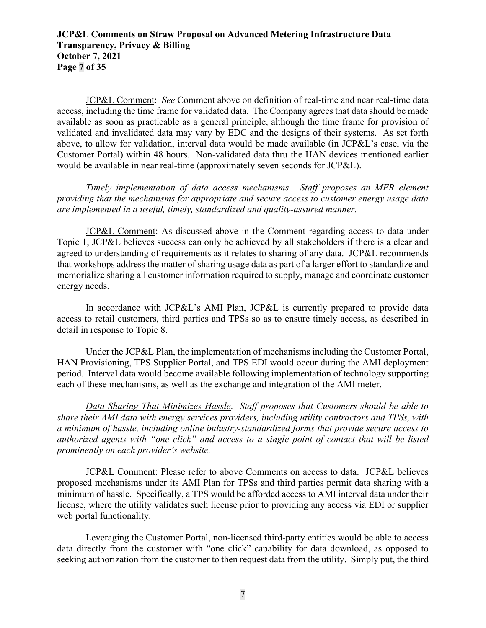## **JCP&L Comments on Straw Proposal on Advanced Metering Infrastructure Data Transparency, Privacy & Billing October 7, 2021 Page 7 of 35**

JCP&L Comment: *See* Comment above on definition of real-time and near real-time data access, including the time frame for validated data. The Company agrees that data should be made available as soon as practicable as a general principle, although the time frame for provision of validated and invalidated data may vary by EDC and the designs of their systems. As set forth above, to allow for validation, interval data would be made available (in JCP&L's case, via the Customer Portal) within 48 hours. Non-validated data thru the HAN devices mentioned earlier would be available in near real-time (approximately seven seconds for JCP&L).

*Timely implementation of data access mechanisms*. *Staff proposes an MFR element providing that the mechanisms for appropriate and secure access to customer energy usage data are implemented in a useful, timely, standardized and quality-assured manner.*

JCP&L Comment: As discussed above in the Comment regarding access to data under Topic 1, JCP&L believes success can only be achieved by all stakeholders if there is a clear and agreed to understanding of requirements as it relates to sharing of any data. JCP&L recommends that workshops address the matter of sharing usage data as part of a larger effort to standardize and memorialize sharing all customer information required to supply, manage and coordinate customer energy needs.

In accordance with JCP&L's AMI Plan, JCP&L is currently prepared to provide data access to retail customers, third parties and TPSs so as to ensure timely access, as described in detail in response to Topic 8.

Under the JCP&L Plan, the implementation of mechanisms including the Customer Portal, HAN Provisioning, TPS Supplier Portal, and TPS EDI would occur during the AMI deployment period. Interval data would become available following implementation of technology supporting each of these mechanisms, as well as the exchange and integration of the AMI meter.

*Data Sharing That Minimizes Hassle*. *Staff proposes that Customers should be able to share their AMI data with energy services providers, including utility contractors and TPSs, with a minimum of hassle, including online industry-standardized forms that provide secure access to authorized agents with "one click" and access to a single point of contact that will be listed prominently on each provider's website.*

JCP&L Comment: Please refer to above Comments on access to data. JCP&L believes proposed mechanisms under its AMI Plan for TPSs and third parties permit data sharing with a minimum of hassle. Specifically, a TPS would be afforded access to AMI interval data under their license, where the utility validates such license prior to providing any access via EDI or supplier web portal functionality.

Leveraging the Customer Portal, non-licensed third-party entities would be able to access data directly from the customer with "one click" capability for data download, as opposed to seeking authorization from the customer to then request data from the utility. Simply put, the third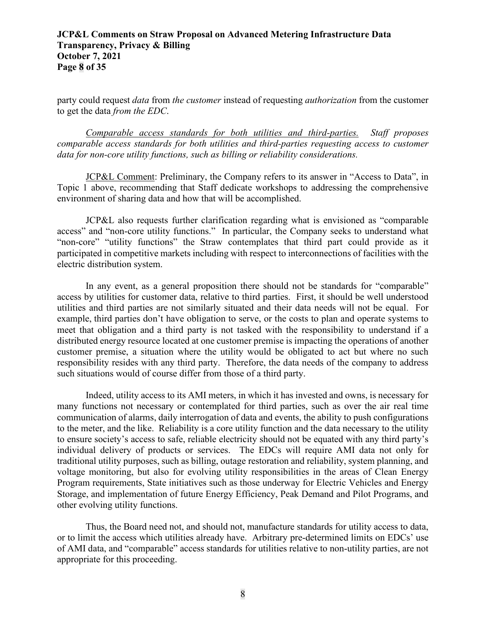### **JCP&L Comments on Straw Proposal on Advanced Metering Infrastructure Data Transparency, Privacy & Billing October 7, 2021 Page 8 of 35**

party could request *data* from *the customer* instead of requesting *authorization* from the customer to get the data *from the EDC*.

*Comparable access standards for both utilities and third-parties. Staff proposes comparable access standards for both utilities and third-parties requesting access to customer data for non-core utility functions, such as billing or reliability considerations.*

JCP&L Comment: Preliminary, the Company refers to its answer in "Access to Data", in Topic 1 above, recommending that Staff dedicate workshops to addressing the comprehensive environment of sharing data and how that will be accomplished.

JCP&L also requests further clarification regarding what is envisioned as "comparable access" and "non-core utility functions." In particular, the Company seeks to understand what "non-core" "utility functions" the Straw contemplates that third part could provide as it participated in competitive markets including with respect to interconnections of facilities with the electric distribution system.

In any event, as a general proposition there should not be standards for "comparable" access by utilities for customer data, relative to third parties. First, it should be well understood utilities and third parties are not similarly situated and their data needs will not be equal. For example, third parties don't have obligation to serve, or the costs to plan and operate systems to meet that obligation and a third party is not tasked with the responsibility to understand if a distributed energy resource located at one customer premise is impacting the operations of another customer premise, a situation where the utility would be obligated to act but where no such responsibility resides with any third party. Therefore, the data needs of the company to address such situations would of course differ from those of a third party.

Indeed, utility access to its AMI meters, in which it has invested and owns, is necessary for many functions not necessary or contemplated for third parties, such as over the air real time communication of alarms, daily interrogation of data and events, the ability to push configurations to the meter, and the like. Reliability is a core utility function and the data necessary to the utility to ensure society's access to safe, reliable electricity should not be equated with any third party's individual delivery of products or services. The EDCs will require AMI data not only for traditional utility purposes, such as billing, outage restoration and reliability, system planning, and voltage monitoring, but also for evolving utility responsibilities in the areas of Clean Energy Program requirements, State initiatives such as those underway for Electric Vehicles and Energy Storage, and implementation of future Energy Efficiency, Peak Demand and Pilot Programs, and other evolving utility functions.

Thus, the Board need not, and should not, manufacture standards for utility access to data, or to limit the access which utilities already have. Arbitrary pre-determined limits on EDCs' use of AMI data, and "comparable" access standards for utilities relative to non-utility parties, are not appropriate for this proceeding.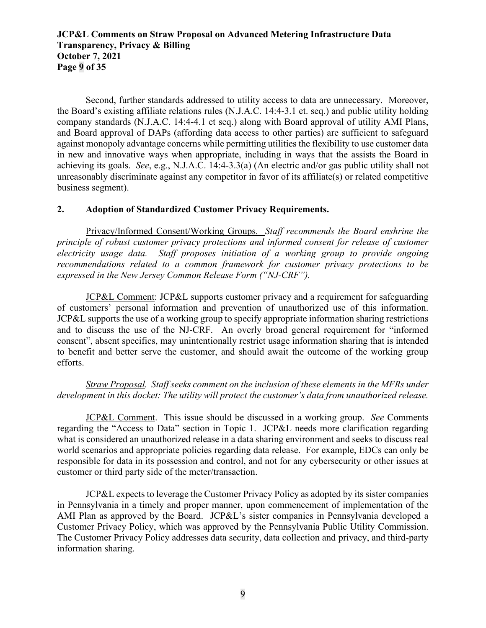# **JCP&L Comments on Straw Proposal on Advanced Metering Infrastructure Data Transparency, Privacy & Billing October 7, 2021 Page 9 of 35**

Second, further standards addressed to utility access to data are unnecessary. Moreover, the Board's existing affiliate relations rules (N.J.A.C. 14:4-3.1 et. seq.) and public utility holding company standards (N.J.A.C. 14:4-4.1 et seq.) along with Board approval of utility AMI Plans, and Board approval of DAPs (affording data access to other parties) are sufficient to safeguard against monopoly advantage concerns while permitting utilities the flexibility to use customer data in new and innovative ways when appropriate, including in ways that the assists the Board in achieving its goals. *See*, e.g., N.J.A.C. 14:4-3.3(a) (An electric and/or gas public utility shall not unreasonably discriminate against any competitor in favor of its affiliate(s) or related competitive business segment).

#### **2. Adoption of Standardized Customer Privacy Requirements.**

Privacy/Informed Consent/Working Groups. *Staff recommends the Board enshrine the principle of robust customer privacy protections and informed consent for release of customer electricity usage data. Staff proposes initiation of a working group to provide ongoing recommendations related to a common framework for customer privacy protections to be expressed in the New Jersey Common Release Form ("NJ-CRF").*

JCP&L Comment: JCP&L supports customer privacy and a requirement for safeguarding of customers' personal information and prevention of unauthorized use of this information. JCP&L supports the use of a working group to specify appropriate information sharing restrictions and to discuss the use of the NJ-CRF. An overly broad general requirement for "informed consent", absent specifics, may unintentionally restrict usage information sharing that is intended to benefit and better serve the customer, and should await the outcome of the working group efforts.

*Straw Proposal. Staff seeks comment on the inclusion of these elements in the MFRs under development in this docket: The utility will protect the customer's data from unauthorized release.*

JCP&L Comment. This issue should be discussed in a working group. *See* Comments regarding the "Access to Data" section in Topic 1. JCP&L needs more clarification regarding what is considered an unauthorized release in a data sharing environment and seeks to discuss real world scenarios and appropriate policies regarding data release. For example, EDCs can only be responsible for data in its possession and control, and not for any cybersecurity or other issues at customer or third party side of the meter/transaction.

JCP&L expects to leverage the Customer Privacy Policy as adopted by its sister companies in Pennsylvania in a timely and proper manner, upon commencement of implementation of the AMI Plan as approved by the Board. JCP&L's sister companies in Pennsylvania developed a Customer Privacy Policy, which was approved by the Pennsylvania Public Utility Commission. The Customer Privacy Policy addresses data security, data collection and privacy, and third-party information sharing.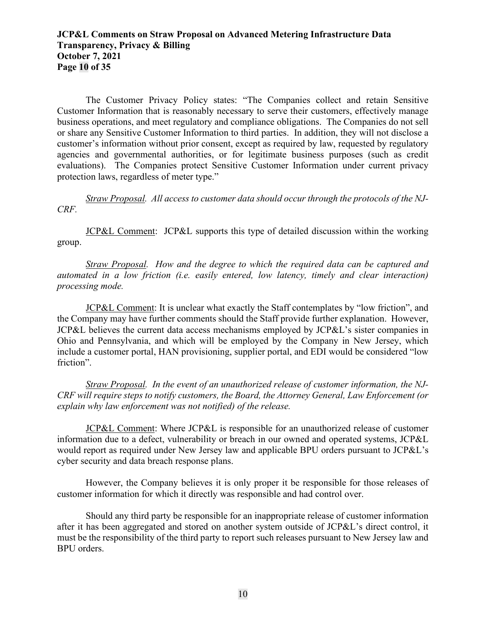# **JCP&L Comments on Straw Proposal on Advanced Metering Infrastructure Data Transparency, Privacy & Billing October 7, 2021 Page 10 of 35**

The Customer Privacy Policy states: "The Companies collect and retain Sensitive Customer Information that is reasonably necessary to serve their customers, effectively manage business operations, and meet regulatory and compliance obligations. The Companies do not sell or share any Sensitive Customer Information to third parties. In addition, they will not disclose a customer's information without prior consent, except as required by law, requested by regulatory agencies and governmental authorities, or for legitimate business purposes (such as credit evaluations). The Companies protect Sensitive Customer Information under current privacy protection laws, regardless of meter type."

*Straw Proposal. All access to customer data should occur through the protocols of the NJ-CRF.*

JCP&L Comment: JCP&L supports this type of detailed discussion within the working group.

*Straw Proposal. How and the degree to which the required data can be captured and automated in a low friction (i.e. easily entered, low latency, timely and clear interaction) processing mode.*

JCP&L Comment: It is unclear what exactly the Staff contemplates by "low friction", and the Company may have further comments should the Staff provide further explanation. However, JCP&L believes the current data access mechanisms employed by JCP&L's sister companies in Ohio and Pennsylvania, and which will be employed by the Company in New Jersey, which include a customer portal, HAN provisioning, supplier portal, and EDI would be considered "low friction".

*Straw Proposal. In the event of an unauthorized release of customer information, the NJ-CRF will require steps to notify customers, the Board, the Attorney General, Law Enforcement (or explain why law enforcement was not notified) of the release.*

JCP&L Comment: Where JCP&L is responsible for an unauthorized release of customer information due to a defect, vulnerability or breach in our owned and operated systems, JCP&L would report as required under New Jersey law and applicable BPU orders pursuant to JCP&L's cyber security and data breach response plans.

However, the Company believes it is only proper it be responsible for those releases of customer information for which it directly was responsible and had control over.

Should any third party be responsible for an inappropriate release of customer information after it has been aggregated and stored on another system outside of JCP&L's direct control, it must be the responsibility of the third party to report such releases pursuant to New Jersey law and BPU orders.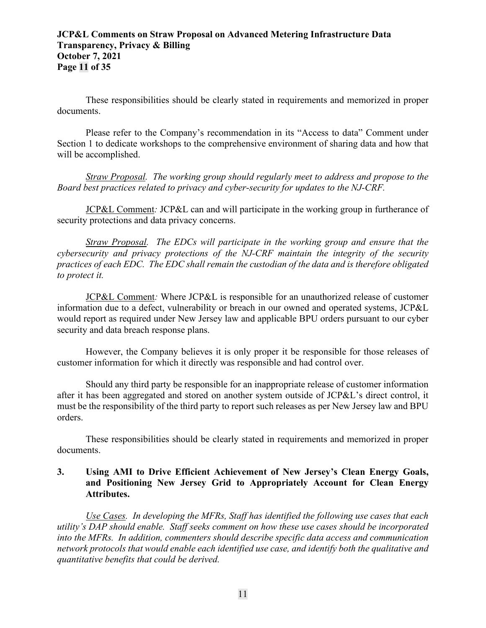## **JCP&L Comments on Straw Proposal on Advanced Metering Infrastructure Data Transparency, Privacy & Billing October 7, 2021 Page 11 of 35**

These responsibilities should be clearly stated in requirements and memorized in proper documents.

Please refer to the Company's recommendation in its "Access to data" Comment under Section 1 to dedicate workshops to the comprehensive environment of sharing data and how that will be accomplished.

*Straw Proposal. The working group should regularly meet to address and propose to the Board best practices related to privacy and cyber-security for updates to the NJ-CRF.*

JCP&L Comment*:* JCP&L can and will participate in the working group in furtherance of security protections and data privacy concerns.

*Straw Proposal. The EDCs will participate in the working group and ensure that the cybersecurity and privacy protections of the NJ-CRF maintain the integrity of the security practices of each EDC. The EDC shall remain the custodian of the data and is therefore obligated to protect it.*

JCP&L Comment*:* Where JCP&L is responsible for an unauthorized release of customer information due to a defect, vulnerability or breach in our owned and operated systems, JCP&L would report as required under New Jersey law and applicable BPU orders pursuant to our cyber security and data breach response plans.

However, the Company believes it is only proper it be responsible for those releases of customer information for which it directly was responsible and had control over.

Should any third party be responsible for an inappropriate release of customer information after it has been aggregated and stored on another system outside of JCP&L's direct control, it must be the responsibility of the third party to report such releases as per New Jersey law and BPU orders.

These responsibilities should be clearly stated in requirements and memorized in proper documents.

## **3. Using AMI to Drive Efficient Achievement of New Jersey's Clean Energy Goals, and Positioning New Jersey Grid to Appropriately Account for Clean Energy Attributes.**

*Use Cases. In developing the MFRs, Staff has identified the following use cases that each utility's DAP should enable. Staff seeks comment on how these use cases should be incorporated into the MFRs. In addition, commenters should describe specific data access and communication network protocols that would enable each identified use case, and identify both the qualitative and quantitative benefits that could be derived.*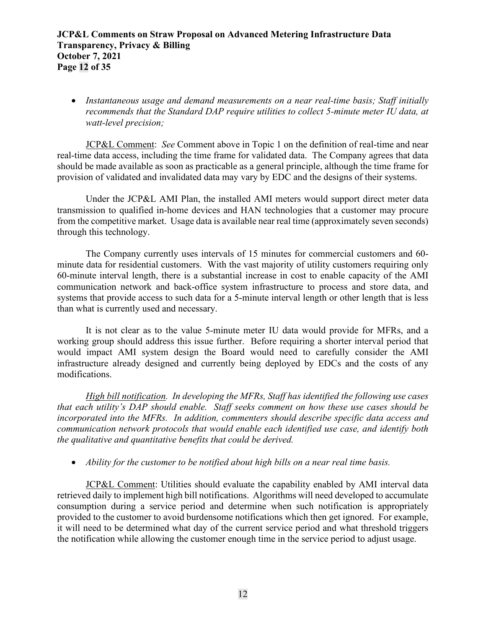• *Instantaneous usage and demand measurements on a near real-time basis; Staff initially recommends that the Standard DAP require utilities to collect 5-minute meter IU data, at watt-level precision;*

JCP&L Comment: *See* Comment above in Topic 1 on the definition of real-time and near real-time data access, including the time frame for validated data. The Company agrees that data should be made available as soon as practicable as a general principle, although the time frame for provision of validated and invalidated data may vary by EDC and the designs of their systems.

Under the JCP&L AMI Plan, the installed AMI meters would support direct meter data transmission to qualified in-home devices and HAN technologies that a customer may procure from the competitive market. Usage data is available near real time (approximately seven seconds) through this technology.

The Company currently uses intervals of 15 minutes for commercial customers and 60 minute data for residential customers. With the vast majority of utility customers requiring only 60-minute interval length, there is a substantial increase in cost to enable capacity of the AMI communication network and back-office system infrastructure to process and store data, and systems that provide access to such data for a 5-minute interval length or other length that is less than what is currently used and necessary.

It is not clear as to the value 5-minute meter IU data would provide for MFRs, and a working group should address this issue further. Before requiring a shorter interval period that would impact AMI system design the Board would need to carefully consider the AMI infrastructure already designed and currently being deployed by EDCs and the costs of any modifications.

*High bill notification. In developing the MFRs, Staff has identified the following use cases that each utility's DAP should enable. Staff seeks comment on how these use cases should be incorporated into the MFRs. In addition, commenters should describe specific data access and communication network protocols that would enable each identified use case, and identify both the qualitative and quantitative benefits that could be derived.* 

• *Ability for the customer to be notified about high bills on a near real time basis.*

JCP&L Comment: Utilities should evaluate the capability enabled by AMI interval data retrieved daily to implement high bill notifications. Algorithms will need developed to accumulate consumption during a service period and determine when such notification is appropriately provided to the customer to avoid burdensome notifications which then get ignored. For example, it will need to be determined what day of the current service period and what threshold triggers the notification while allowing the customer enough time in the service period to adjust usage.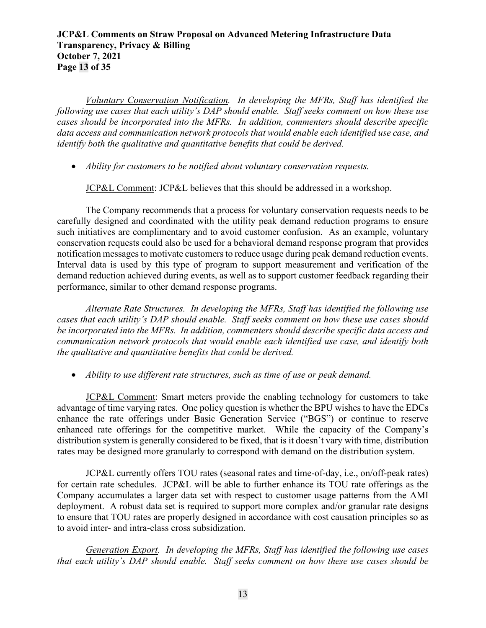### **JCP&L Comments on Straw Proposal on Advanced Metering Infrastructure Data Transparency, Privacy & Billing October 7, 2021 Page 13 of 35**

*Voluntary Conservation Notification. In developing the MFRs, Staff has identified the following use cases that each utility's DAP should enable. Staff seeks comment on how these use cases should be incorporated into the MFRs. In addition, commenters should describe specific data access and communication network protocols that would enable each identified use case, and identify both the qualitative and quantitative benefits that could be derived.*

• *Ability for customers to be notified about voluntary conservation requests.*

JCP&L Comment: JCP&L believes that this should be addressed in a workshop.

The Company recommends that a process for voluntary conservation requests needs to be carefully designed and coordinated with the utility peak demand reduction programs to ensure such initiatives are complimentary and to avoid customer confusion. As an example, voluntary conservation requests could also be used for a behavioral demand response program that provides notification messages to motivate customers to reduce usage during peak demand reduction events. Interval data is used by this type of program to support measurement and verification of the demand reduction achieved during events, as well as to support customer feedback regarding their performance, similar to other demand response programs.

*Alternate Rate Structures. In developing the MFRs, Staff has identified the following use cases that each utility's DAP should enable. Staff seeks comment on how these use cases should be incorporated into the MFRs. In addition, commenters should describe specific data access and communication network protocols that would enable each identified use case, and identify both the qualitative and quantitative benefits that could be derived.* 

• *Ability to use different rate structures, such as time of use or peak demand.*

JCP&L Comment: Smart meters provide the enabling technology for customers to take advantage of time varying rates. One policy question is whether the BPU wishes to have the EDCs enhance the rate offerings under Basic Generation Service ("BGS") or continue to reserve enhanced rate offerings for the competitive market. While the capacity of the Company's distribution system is generally considered to be fixed, that is it doesn't vary with time, distribution rates may be designed more granularly to correspond with demand on the distribution system.

JCP&L currently offers TOU rates (seasonal rates and time-of-day, i.e., on/off-peak rates) for certain rate schedules. JCP&L will be able to further enhance its TOU rate offerings as the Company accumulates a larger data set with respect to customer usage patterns from the AMI deployment. A robust data set is required to support more complex and/or granular rate designs to ensure that TOU rates are properly designed in accordance with cost causation principles so as to avoid inter- and intra-class cross subsidization.

*Generation Export. In developing the MFRs, Staff has identified the following use cases that each utility's DAP should enable. Staff seeks comment on how these use cases should be*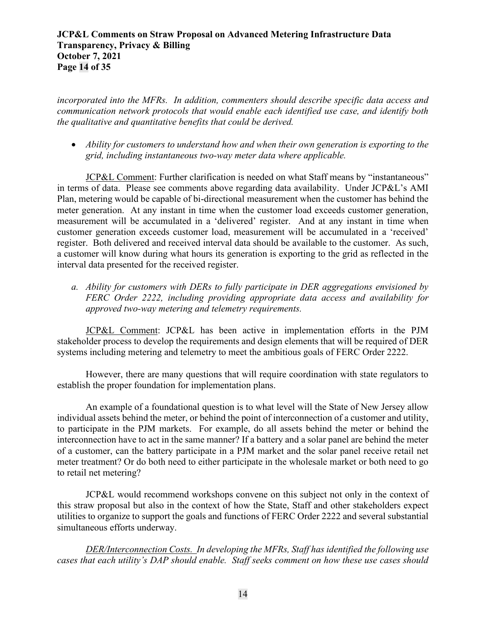## **JCP&L Comments on Straw Proposal on Advanced Metering Infrastructure Data Transparency, Privacy & Billing October 7, 2021 Page 14 of 35**

*incorporated into the MFRs. In addition, commenters should describe specific data access and communication network protocols that would enable each identified use case, and identify both the qualitative and quantitative benefits that could be derived.*

• *Ability for customers to understand how and when their own generation is exporting to the grid, including instantaneous two-way meter data where applicable.*

JCP&L Comment: Further clarification is needed on what Staff means by "instantaneous" in terms of data. Please see comments above regarding data availability. Under JCP&L's AMI Plan, metering would be capable of bi-directional measurement when the customer has behind the meter generation. At any instant in time when the customer load exceeds customer generation, measurement will be accumulated in a 'delivered' register. And at any instant in time when customer generation exceeds customer load, measurement will be accumulated in a 'received' register. Both delivered and received interval data should be available to the customer. As such, a customer will know during what hours its generation is exporting to the grid as reflected in the interval data presented for the received register.

*a. Ability for customers with DERs to fully participate in DER aggregations envisioned by FERC Order 2222, including providing appropriate data access and availability for approved two-way metering and telemetry requirements.*

JCP&L Comment: JCP&L has been active in implementation efforts in the PJM stakeholder process to develop the requirements and design elements that will be required of DER systems including metering and telemetry to meet the ambitious goals of FERC Order 2222.

However, there are many questions that will require coordination with state regulators to establish the proper foundation for implementation plans.

An example of a foundational question is to what level will the State of New Jersey allow individual assets behind the meter, or behind the point of interconnection of a customer and utility, to participate in the PJM markets. For example, do all assets behind the meter or behind the interconnection have to act in the same manner? If a battery and a solar panel are behind the meter of a customer, can the battery participate in a PJM market and the solar panel receive retail net meter treatment? Or do both need to either participate in the wholesale market or both need to go to retail net metering?

JCP&L would recommend workshops convene on this subject not only in the context of this straw proposal but also in the context of how the State, Staff and other stakeholders expect utilities to organize to support the goals and functions of FERC Order 2222 and several substantial simultaneous efforts underway.

*DER/Interconnection Costs. In developing the MFRs, Staff has identified the following use cases that each utility's DAP should enable. Staff seeks comment on how these use cases should*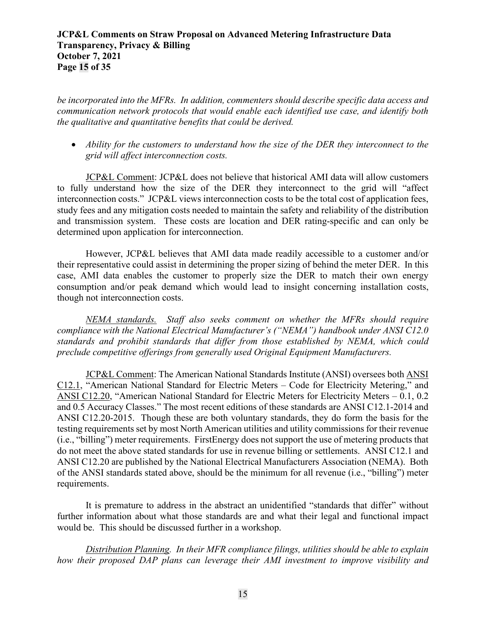## **JCP&L Comments on Straw Proposal on Advanced Metering Infrastructure Data Transparency, Privacy & Billing October 7, 2021 Page 15 of 35**

*be incorporated into the MFRs. In addition, commenters should describe specific data access and communication network protocols that would enable each identified use case, and identify both the qualitative and quantitative benefits that could be derived.*

• *Ability for the customers to understand how the size of the DER they interconnect to the grid will affect interconnection costs.*

JCP&L Comment: JCP&L does not believe that historical AMI data will allow customers to fully understand how the size of the DER they interconnect to the grid will "affect interconnection costs." JCP&L views interconnection costs to be the total cost of application fees, study fees and any mitigation costs needed to maintain the safety and reliability of the distribution and transmission system. These costs are location and DER rating-specific and can only be determined upon application for interconnection.

However, JCP&L believes that AMI data made readily accessible to a customer and/or their representative could assist in determining the proper sizing of behind the meter DER. In this case, AMI data enables the customer to properly size the DER to match their own energy consumption and/or peak demand which would lead to insight concerning installation costs, though not interconnection costs.

*NEMA standards. Staff also seeks comment on whether the MFRs should require compliance with the National Electrical Manufacturer's ("NEMA") handbook under ANSI C12.0 standards and prohibit standards that differ from those established by NEMA, which could preclude competitive offerings from generally used Original Equipment Manufacturers.* 

JCP&L Comment: The American National Standards Institute (ANSI) oversees both [ANSI](https://web.archive.org/web/20100526093232/https:/www.nema.org/stds/c12-1.cfm)  [C12.1,](https://web.archive.org/web/20100526093232/https:/www.nema.org/stds/c12-1.cfm) "American National Standard for Electric Meters – Code for Electricity Metering," and [ANSI C12.20,](https://web.archive.org/web/20100526093854/https:/www.nema.org/stds/c12-20.cfm) "American National Standard for Electric Meters for Electricity Meters – 0.1, 0.2 and 0.5 Accuracy Classes." The most recent editions of these standards are ANSI C12.1-2014 and ANSI C12.20-2015. Though these are both voluntary standards, they do form the basis for the testing requirements set by most North American utilities and utility commissions for their revenue (i.e., "billing") meter requirements. FirstEnergy does not support the use of metering products that do not meet the above stated standards for use in revenue billing or settlements. ANSI C12.1 and ANSI C12.20 are published by the National Electrical Manufacturers Association (NEMA). Both of the ANSI standards stated above, should be the minimum for all revenue (i.e., "billing") meter requirements.

It is premature to address in the abstract an unidentified "standards that differ" without further information about what those standards are and what their legal and functional impact would be. This should be discussed further in a workshop.

*Distribution Planning. In their MFR compliance filings, utilities should be able to explain how their proposed DAP plans can leverage their AMI investment to improve visibility and*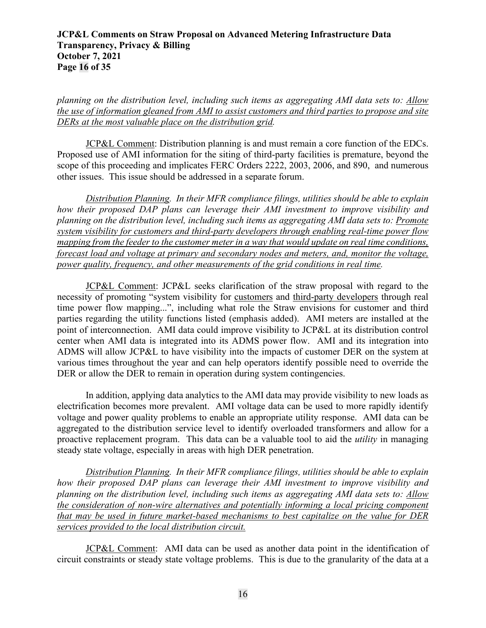## **JCP&L Comments on Straw Proposal on Advanced Metering Infrastructure Data Transparency, Privacy & Billing October 7, 2021 Page 16 of 35**

*planning on the distribution level, including such items as aggregating AMI data sets to: Allow the use of information gleaned from AMI to assist customers and third parties to propose and site DERs at the most valuable place on the distribution grid.*

JCP&L Comment: Distribution planning is and must remain a core function of the EDCs. Proposed use of AMI information for the siting of third-party facilities is premature, beyond the scope of this proceeding and implicates FERC Orders 2222, 2003, 2006, and 890, and numerous other issues. This issue should be addressed in a separate forum.

*Distribution Planning. In their MFR compliance filings, utilities should be able to explain how their proposed DAP plans can leverage their AMI investment to improve visibility and planning on the distribution level, including such items as aggregating AMI data sets to: Promote system visibility for customers and third-party developers through enabling real-time power flow mapping from the feeder to the customer meter in a way that would update on real time conditions, forecast load and voltage at primary and secondary nodes and meters, and, monitor the voltage, power quality, frequency, and other measurements of the grid conditions in real time.*

JCP&L Comment: JCP&L seeks clarification of the straw proposal with regard to the necessity of promoting "system visibility for customers and third-party developers through real time power flow mapping...", including what role the Straw envisions for customer and third parties regarding the utility functions listed (emphasis added). AMI meters are installed at the point of interconnection. AMI data could improve visibility to JCP&L at its distribution control center when AMI data is integrated into its ADMS power flow. AMI and its integration into ADMS will allow JCP&L to have visibility into the impacts of customer DER on the system at various times throughout the year and can help operators identify possible need to override the DER or allow the DER to remain in operation during system contingencies.

In addition, applying data analytics to the AMI data may provide visibility to new loads as electrification becomes more prevalent. AMI voltage data can be used to more rapidly identify voltage and power quality problems to enable an appropriate utility response. AMI data can be aggregated to the distribution service level to identify overloaded transformers and allow for a proactive replacement program. This data can be a valuable tool to aid the *utility* in managing steady state voltage, especially in areas with high DER penetration.

*Distribution Planning. In their MFR compliance filings, utilities should be able to explain how their proposed DAP plans can leverage their AMI investment to improve visibility and planning on the distribution level, including such items as aggregating AMI data sets to: Allow the consideration of non-wire alternatives and potentially informing a local pricing component that may be used in future market-based mechanisms to best capitalize on the value for DER services provided to the local distribution circuit.*

JCP&L Comment: AMI data can be used as another data point in the identification of circuit constraints or steady state voltage problems. This is due to the granularity of the data at a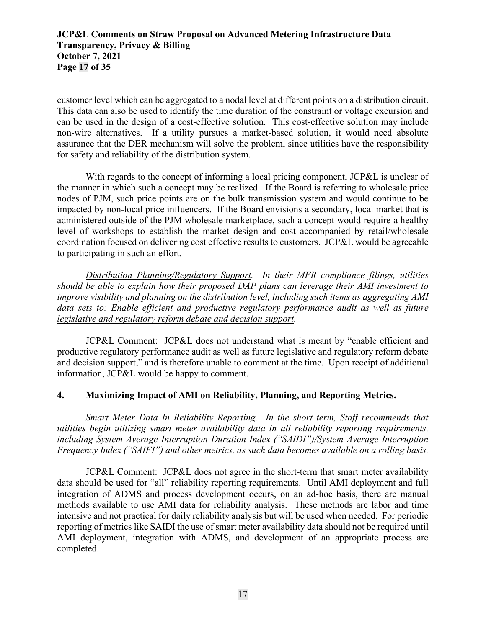# **JCP&L Comments on Straw Proposal on Advanced Metering Infrastructure Data Transparency, Privacy & Billing October 7, 2021 Page 17 of 35**

customer level which can be aggregated to a nodal level at different points on a distribution circuit. This data can also be used to identify the time duration of the constraint or voltage excursion and can be used in the design of a cost-effective solution. This cost-effective solution may include non-wire alternatives. If a utility pursues a market-based solution, it would need absolute assurance that the DER mechanism will solve the problem, since utilities have the responsibility for safety and reliability of the distribution system.

With regards to the concept of informing a local pricing component, JCP&L is unclear of the manner in which such a concept may be realized. If the Board is referring to wholesale price nodes of PJM, such price points are on the bulk transmission system and would continue to be impacted by non-local price influencers. If the Board envisions a secondary, local market that is administered outside of the PJM wholesale marketplace, such a concept would require a healthy level of workshops to establish the market design and cost accompanied by retail/wholesale coordination focused on delivering cost effective results to customers. JCP&L would be agreeable to participating in such an effort.

*Distribution Planning/Regulatory Support. In their MFR compliance filings, utilities should be able to explain how their proposed DAP plans can leverage their AMI investment to improve visibility and planning on the distribution level, including such items as aggregating AMI data sets to: Enable efficient and productive regulatory performance audit as well as future legislative and regulatory reform debate and decision support.*

JCP&L Comment: JCP&L does not understand what is meant by "enable efficient and productive regulatory performance audit as well as future legislative and regulatory reform debate and decision support," and is therefore unable to comment at the time. Upon receipt of additional information, JCP&L would be happy to comment.

# **4. Maximizing Impact of AMI on Reliability, Planning, and Reporting Metrics.**

*Smart Meter Data In Reliability Reporting. In the short term, Staff recommends that utilities begin utilizing smart meter availability data in all reliability reporting requirements, including System Average Interruption Duration Index ("SAIDI")/System Average Interruption Frequency Index ("SAIFI") and other metrics, as such data becomes available on a rolling basis.*

JCP&L Comment: JCP&L does not agree in the short-term that smart meter availability data should be used for "all" reliability reporting requirements. Until AMI deployment and full integration of ADMS and process development occurs, on an ad-hoc basis, there are manual methods available to use AMI data for reliability analysis. These methods are labor and time intensive and not practical for daily reliability analysis but will be used when needed. For periodic reporting of metrics like SAIDI the use of smart meter availability data should not be required until AMI deployment, integration with ADMS, and development of an appropriate process are completed.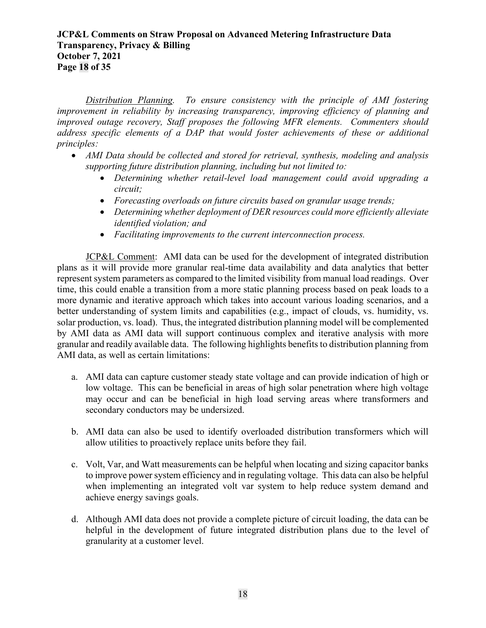# **JCP&L Comments on Straw Proposal on Advanced Metering Infrastructure Data Transparency, Privacy & Billing October 7, 2021 Page 18 of 35**

*Distribution Planning. To ensure consistency with the principle of AMI fostering improvement in reliability by increasing transparency, improving efficiency of planning and improved outage recovery, Staff proposes the following MFR elements. Commenters should address specific elements of a DAP that would foster achievements of these or additional principles:* 

- *AMI Data should be collected and stored for retrieval, synthesis, modeling and analysis supporting future distribution planning, including but not limited to:*
	- *Determining whether retail-level load management could avoid upgrading a circuit;*
	- *Forecasting overloads on future circuits based on granular usage trends;*
	- *Determining whether deployment of DER resources could more efficiently alleviate identified violation; and*
	- *Facilitating improvements to the current interconnection process.*

JCP&L Comment: AMI data can be used for the development of integrated distribution plans as it will provide more granular real-time data availability and data analytics that better represent system parameters as compared to the limited visibility from manual load readings. Over time, this could enable a transition from a more static planning process based on peak loads to a more dynamic and iterative approach which takes into account various loading scenarios, and a better understanding of system limits and capabilities (e.g., impact of clouds, vs. humidity, vs. solar production, vs. load). Thus, the integrated distribution planning model will be complemented by AMI data as AMI data will support continuous complex and iterative analysis with more granular and readily available data. The following highlights benefits to distribution planning from AMI data, as well as certain limitations:

- a. AMI data can capture customer steady state voltage and can provide indication of high or low voltage. This can be beneficial in areas of high solar penetration where high voltage may occur and can be beneficial in high load serving areas where transformers and secondary conductors may be undersized.
- b. AMI data can also be used to identify overloaded distribution transformers which will allow utilities to proactively replace units before they fail.
- c. Volt, Var, and Watt measurements can be helpful when locating and sizing capacitor banks to improve power system efficiency and in regulating voltage. This data can also be helpful when implementing an integrated volt var system to help reduce system demand and achieve energy savings goals.
- d. Although AMI data does not provide a complete picture of circuit loading, the data can be helpful in the development of future integrated distribution plans due to the level of granularity at a customer level.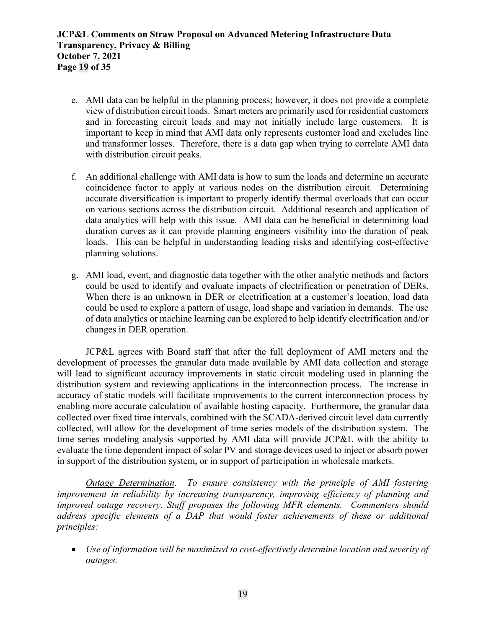- e. AMI data can be helpful in the planning process; however, it does not provide a complete view of distribution circuit loads. Smart meters are primarily used for residential customers and in forecasting circuit loads and may not initially include large customers. It is important to keep in mind that AMI data only represents customer load and excludes line and transformer losses. Therefore, there is a data gap when trying to correlate AMI data with distribution circuit peaks.
- f. An additional challenge with AMI data is how to sum the loads and determine an accurate coincidence factor to apply at various nodes on the distribution circuit. Determining accurate diversification is important to properly identify thermal overloads that can occur on various sections across the distribution circuit. Additional research and application of data analytics will help with this issue. AMI data can be beneficial in determining load duration curves as it can provide planning engineers visibility into the duration of peak loads. This can be helpful in understanding loading risks and identifying cost-effective planning solutions.
- g. AMI load, event, and diagnostic data together with the other analytic methods and factors could be used to identify and evaluate impacts of electrification or penetration of DERs. When there is an unknown in DER or electrification at a customer's location, load data could be used to explore a pattern of usage, load shape and variation in demands. The use of data analytics or machine learning can be explored to help identify electrification and/or changes in DER operation.

JCP&L agrees with Board staff that after the full deployment of AMI meters and the development of processes the granular data made available by AMI data collection and storage will lead to significant accuracy improvements in static circuit modeling used in planning the distribution system and reviewing applications in the interconnection process. The increase in accuracy of static models will facilitate improvements to the current interconnection process by enabling more accurate calculation of available hosting capacity. Furthermore, the granular data collected over fixed time intervals, combined with the SCADA-derived circuit level data currently collected, will allow for the development of time series models of the distribution system. The time series modeling analysis supported by AMI data will provide JCP&L with the ability to evaluate the time dependent impact of solar PV and storage devices used to inject or absorb power in support of the distribution system, or in support of participation in wholesale markets.

*Outage Determination*. *To ensure consistency with the principle of AMI fostering improvement in reliability by increasing transparency, improving efficiency of planning and improved outage recovery, Staff proposes the following MFR elements. Commenters should address specific elements of a DAP that would foster achievements of these or additional principles:*

• *Use of information will be maximized to cost-effectively determine location and severity of outages.*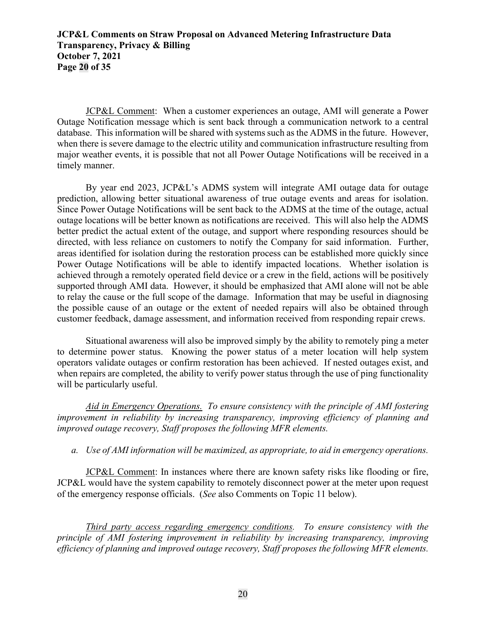JCP&L Comment: When a customer experiences an outage, AMI will generate a Power Outage Notification message which is sent back through a communication network to a central database. This information will be shared with systems such as the ADMS in the future. However, when there is severe damage to the electric utility and communication infrastructure resulting from major weather events, it is possible that not all Power Outage Notifications will be received in a timely manner.

By year end 2023, JCP&L's ADMS system will integrate AMI outage data for outage prediction, allowing better situational awareness of true outage events and areas for isolation. Since Power Outage Notifications will be sent back to the ADMS at the time of the outage, actual outage locations will be better known as notifications are received. This will also help the ADMS better predict the actual extent of the outage, and support where responding resources should be directed, with less reliance on customers to notify the Company for said information. Further, areas identified for isolation during the restoration process can be established more quickly since Power Outage Notifications will be able to identify impacted locations. Whether isolation is achieved through a remotely operated field device or a crew in the field, actions will be positively supported through AMI data. However, it should be emphasized that AMI alone will not be able to relay the cause or the full scope of the damage. Information that may be useful in diagnosing the possible cause of an outage or the extent of needed repairs will also be obtained through customer feedback, damage assessment, and information received from responding repair crews.

Situational awareness will also be improved simply by the ability to remotely ping a meter to determine power status. Knowing the power status of a meter location will help system operators validate outages or confirm restoration has been achieved. If nested outages exist, and when repairs are completed, the ability to verify power status through the use of ping functionality will be particularly useful.

*Aid in Emergency Operations. To ensure consistency with the principle of AMI fostering improvement in reliability by increasing transparency, improving efficiency of planning and improved outage recovery, Staff proposes the following MFR elements.*

*a. Use of AMI information will be maximized, as appropriate, to aid in emergency operations.*

JCP&L Comment: In instances where there are known safety risks like flooding or fire, JCP&L would have the system capability to remotely disconnect power at the meter upon request of the emergency response officials. (*See* also Comments on Topic 11 below).

*Third party access regarding emergency conditions. To ensure consistency with the principle of AMI fostering improvement in reliability by increasing transparency, improving efficiency of planning and improved outage recovery, Staff proposes the following MFR elements.*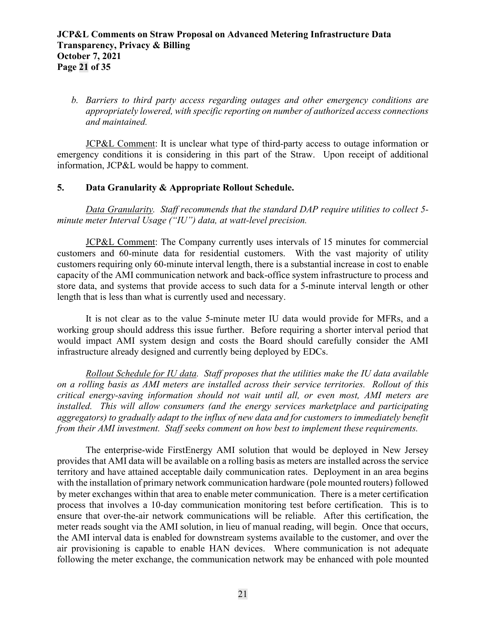*b. Barriers to third party access regarding outages and other emergency conditions are appropriately lowered, with specific reporting on number of authorized access connections and maintained.*

JCP&L Comment: It is unclear what type of third-party access to outage information or emergency conditions it is considering in this part of the Straw. Upon receipt of additional information, JCP&L would be happy to comment.

#### **5. Data Granularity & Appropriate Rollout Schedule.**

*Data Granularity. Staff recommends that the standard DAP require utilities to collect 5 minute meter Interval Usage ("IU") data, at watt-level precision.*

JCP&L Comment: The Company currently uses intervals of 15 minutes for commercial customers and 60-minute data for residential customers. With the vast majority of utility customers requiring only 60-minute interval length, there is a substantial increase in cost to enable capacity of the AMI communication network and back-office system infrastructure to process and store data, and systems that provide access to such data for a 5-minute interval length or other length that is less than what is currently used and necessary.

It is not clear as to the value 5-minute meter IU data would provide for MFRs, and a working group should address this issue further. Before requiring a shorter interval period that would impact AMI system design and costs the Board should carefully consider the AMI infrastructure already designed and currently being deployed by EDCs.

*Rollout Schedule for IU data. Staff proposes that the utilities make the IU data available on a rolling basis as AMI meters are installed across their service territories. Rollout of this critical energy-saving information should not wait until all, or even most, AMI meters are installed. This will allow consumers (and the energy services marketplace and participating aggregators) to gradually adapt to the influx of new data and for customers to immediately benefit from their AMI investment. Staff seeks comment on how best to implement these requirements.*

The enterprise-wide FirstEnergy AMI solution that would be deployed in New Jersey provides that AMI data will be available on a rolling basis as meters are installed across the service territory and have attained acceptable daily communication rates. Deployment in an area begins with the installation of primary network communication hardware (pole mounted routers) followed by meter exchanges within that area to enable meter communication. There is a meter certification process that involves a 10-day communication monitoring test before certification. This is to ensure that over-the-air network communications will be reliable. After this certification, the meter reads sought via the AMI solution, in lieu of manual reading, will begin. Once that occurs, the AMI interval data is enabled for downstream systems available to the customer, and over the air provisioning is capable to enable HAN devices. Where communication is not adequate following the meter exchange, the communication network may be enhanced with pole mounted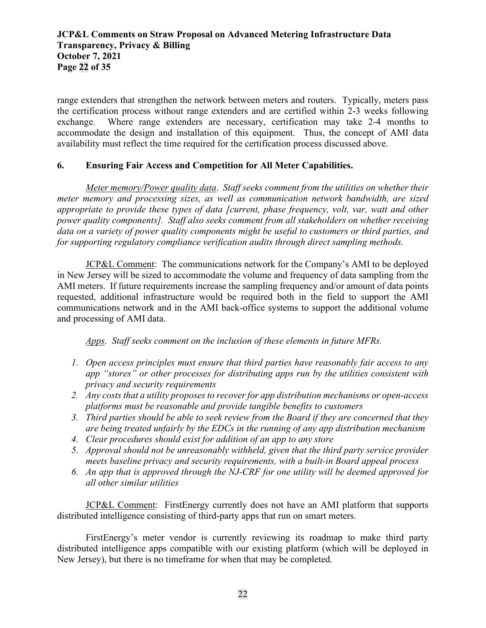# **JCP&L Comments on Straw Proposal on Advanced Metering Infrastructure Data Transparency, Privacy & Billing October 7, 2021 Page 22 of 35**

range extenders that strengthen the network between meters and routers. Typically, meters pass the certification process without range extenders and are certified within 2-3 weeks following exchange. Where range extenders are necessary, certification may take 2-4 months to accommodate the design and installation of this equipment. Thus, the concept of AMI data availability must reflect the time required for the certification process discussed above.

### **6. Ensuring Fair Access and Competition for All Meter Capabilities.**

*Meter memory/Power quality data*. *Staff seeks comment from the utilities on whether their meter memory and processing sizes, as well as communication network bandwidth, are sized appropriate to provide these types of data [current, phase frequency, volt, var, watt and other power quality components]. Staff also seeks comment from all stakeholders on whether receiving data on a variety of power quality components might be useful to customers or third parties, and for supporting regulatory compliance verification audits through direct sampling methods.* 

JCP&L Comment: The communications network for the Company's AMI to be deployed in New Jersey will be sized to accommodate the volume and frequency of data sampling from the AMI meters. If future requirements increase the sampling frequency and/or amount of data points requested, additional infrastructure would be required both in the field to support the AMI communications network and in the AMI back-office systems to support the additional volume and processing of AMI data.

*Apps. Staff seeks comment on the inclusion of these elements in future MFRs.*

- *1. Open access principles must ensure that third parties have reasonably fair access to any app "stores" or other processes for distributing apps run by the utilities consistent with privacy and security requirements*
- *2. Any costs that a utility proposes to recover for app distribution mechanisms or open-access platforms must be reasonable and provide tangible benefits to customers*
- *3. Third parties should be able to seek review from the Board if they are concerned that they are being treated unfairly by the EDCs in the running of any app distribution mechanism*
- *4. Clear procedures should exist for addition of an app to any store*
- *5. Approval should not be unreasonably withheld, given that the third party service provider meets baseline privacy and security requirements, with a built-in Board appeal process*
- *6. An app that is approved through the NJ-CRF for one utility will be deemed approved for all other similar utilities*

JCP&L Comment: FirstEnergy currently does not have an AMI platform that supports distributed intelligence consisting of third-party apps that run on smart meters.

FirstEnergy's meter vendor is currently reviewing its roadmap to make third party distributed intelligence apps compatible with our existing platform (which will be deployed in New Jersey), but there is no timeframe for when that may be completed.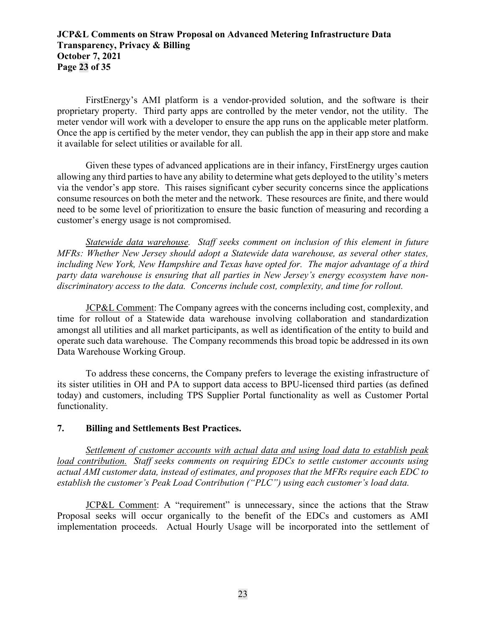# **JCP&L Comments on Straw Proposal on Advanced Metering Infrastructure Data Transparency, Privacy & Billing October 7, 2021 Page 23 of 35**

FirstEnergy's AMI platform is a vendor-provided solution, and the software is their proprietary property. Third party apps are controlled by the meter vendor, not the utility. The meter vendor will work with a developer to ensure the app runs on the applicable meter platform. Once the app is certified by the meter vendor, they can publish the app in their app store and make it available for select utilities or available for all.

Given these types of advanced applications are in their infancy, FirstEnergy urges caution allowing any third parties to have any ability to determine what gets deployed to the utility's meters via the vendor's app store. This raises significant cyber security concerns since the applications consume resources on both the meter and the network. These resources are finite, and there would need to be some level of prioritization to ensure the basic function of measuring and recording a customer's energy usage is not compromised.

*Statewide data warehouse. Staff seeks comment on inclusion of this element in future MFRs: Whether New Jersey should adopt a Statewide data warehouse, as several other states, including New York, New Hampshire and Texas have opted for. The major advantage of a third party data warehouse is ensuring that all parties in New Jersey's energy ecosystem have nondiscriminatory access to the data. Concerns include cost, complexity, and time for rollout.*

JCP&L Comment: The Company agrees with the concerns including cost, complexity, and time for rollout of a Statewide data warehouse involving collaboration and standardization amongst all utilities and all market participants, as well as identification of the entity to build and operate such data warehouse. The Company recommends this broad topic be addressed in its own Data Warehouse Working Group.

To address these concerns, the Company prefers to leverage the existing infrastructure of its sister utilities in OH and PA to support data access to BPU-licensed third parties (as defined today) and customers, including TPS Supplier Portal functionality as well as Customer Portal functionality.

# **7. Billing and Settlements Best Practices.**

*Settlement of customer accounts with actual data and using load data to establish peak load contribution. Staff seeks comments on requiring EDCs to settle customer accounts using actual AMI customer data, instead of estimates, and proposes that the MFRs require each EDC to establish the customer's Peak Load Contribution ("PLC") using each customer's load data.* 

JCP&L Comment: A "requirement" is unnecessary, since the actions that the Straw Proposal seeks will occur organically to the benefit of the EDCs and customers as AMI implementation proceeds. Actual Hourly Usage will be incorporated into the settlement of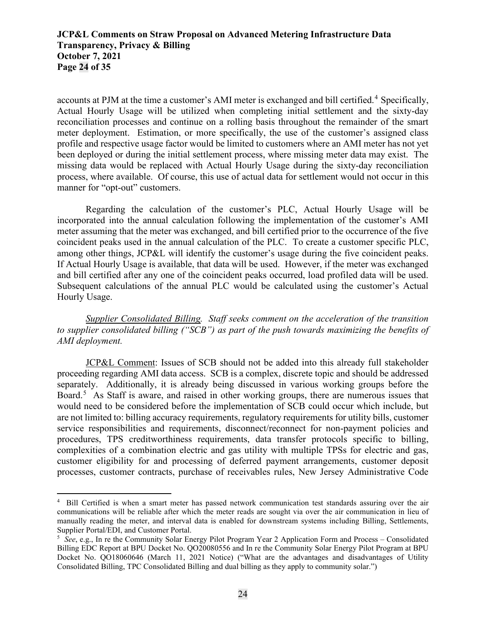# **JCP&L Comments on Straw Proposal on Advanced Metering Infrastructure Data Transparency, Privacy & Billing October 7, 2021 Page 24 of 35**

accounts at PJM at the time a customer's AMI meter is exchanged and bill certified.<sup>[4](#page-23-0)</sup> Specifically, Actual Hourly Usage will be utilized when completing initial settlement and the sixty-day reconciliation processes and continue on a rolling basis throughout the remainder of the smart meter deployment. Estimation, or more specifically, the use of the customer's assigned class profile and respective usage factor would be limited to customers where an AMI meter has not yet been deployed or during the initial settlement process, where missing meter data may exist. The missing data would be replaced with Actual Hourly Usage during the sixty-day reconciliation process, where available. Of course, this use of actual data for settlement would not occur in this manner for "opt-out" customers.

Regarding the calculation of the customer's PLC, Actual Hourly Usage will be incorporated into the annual calculation following the implementation of the customer's AMI meter assuming that the meter was exchanged, and bill certified prior to the occurrence of the five coincident peaks used in the annual calculation of the PLC. To create a customer specific PLC, among other things, JCP&L will identify the customer's usage during the five coincident peaks. If Actual Hourly Usage is available, that data will be used. However, if the meter was exchanged and bill certified after any one of the coincident peaks occurred, load profiled data will be used. Subsequent calculations of the annual PLC would be calculated using the customer's Actual Hourly Usage.

*Supplier Consolidated Billing. Staff seeks comment on the acceleration of the transition to supplier consolidated billing ("SCB") as part of the push towards maximizing the benefits of AMI deployment.* 

JCP&L Comment: Issues of SCB should not be added into this already full stakeholder proceeding regarding AMI data access. SCB is a complex, discrete topic and should be addressed separately. Additionally, it is already being discussed in various working groups before the Board.<sup>[5](#page-23-1)</sup> As Staff is aware, and raised in other working groups, there are numerous issues that would need to be considered before the implementation of SCB could occur which include, but are not limited to: billing accuracy requirements, regulatory requirements for utility bills, customer service responsibilities and requirements, disconnect/reconnect for non-payment policies and procedures, TPS creditworthiness requirements, data transfer protocols specific to billing, complexities of a combination electric and gas utility with multiple TPSs for electric and gas, customer eligibility for and processing of deferred payment arrangements, customer deposit processes, customer contracts, purchase of receivables rules, New Jersey Administrative Code

<span id="page-23-0"></span><sup>4</sup> Bill Certified is when a smart meter has passed network communication test standards assuring over the air communications will be reliable after which the meter reads are sought via over the air communication in lieu of manually reading the meter, and interval data is enabled for downstream systems including Billing, Settlements, Supplier Portal/EDI, and Customer Portal.

<span id="page-23-1"></span><sup>5</sup> *See*, e.g., In re the Community Solar Energy Pilot Program Year 2 Application Form and Process – Consolidated Billing EDC Report at BPU Docket No. QO20080556 and In re the Community Solar Energy Pilot Program at BPU Docket No. QO18060646 (March 11, 2021 Notice) ("What are the advantages and disadvantages of Utility Consolidated Billing, TPC Consolidated Billing and dual billing as they apply to community solar.")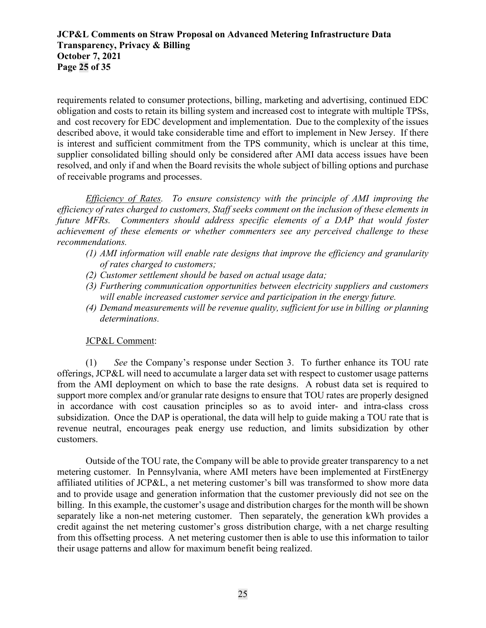# **JCP&L Comments on Straw Proposal on Advanced Metering Infrastructure Data Transparency, Privacy & Billing October 7, 2021 Page 25 of 35**

requirements related to consumer protections, billing, marketing and advertising, continued EDC obligation and costs to retain its billing system and increased cost to integrate with multiple TPSs, and cost recovery for EDC development and implementation. Due to the complexity of the issues described above, it would take considerable time and effort to implement in New Jersey. If there is interest and sufficient commitment from the TPS community, which is unclear at this time, supplier consolidated billing should only be considered after AMI data access issues have been resolved, and only if and when the Board revisits the whole subject of billing options and purchase of receivable programs and processes.

*Efficiency of Rates. To ensure consistency with the principle of AMI improving the efficiency of rates charged to customers, Staff seeks comment on the inclusion of these elements in future MFRs. Commenters should address specific elements of a DAP that would foster achievement of these elements or whether commenters see any perceived challenge to these recommendations.* 

- *(1) AMI information will enable rate designs that improve the efficiency and granularity of rates charged to customers;*
- *(2) Customer settlement should be based on actual usage data;*
- *(3) Furthering communication opportunities between electricity suppliers and customers will enable increased customer service and participation in the energy future.*
- *(4) Demand measurements will be revenue quality, sufficient for use in billing or planning determinations.*

#### JCP&L Comment:

(1) *See* the Company's response under Section 3. To further enhance its TOU rate offerings, JCP&L will need to accumulate a larger data set with respect to customer usage patterns from the AMI deployment on which to base the rate designs. A robust data set is required to support more complex and/or granular rate designs to ensure that TOU rates are properly designed in accordance with cost causation principles so as to avoid inter- and intra-class cross subsidization. Once the DAP is operational, the data will help to guide making a TOU rate that is revenue neutral, encourages peak energy use reduction, and limits subsidization by other customers.

Outside of the TOU rate, the Company will be able to provide greater transparency to a net metering customer. In Pennsylvania, where AMI meters have been implemented at FirstEnergy affiliated utilities of JCP&L, a net metering customer's bill was transformed to show more data and to provide usage and generation information that the customer previously did not see on the billing. In this example, the customer's usage and distribution charges for the month will be shown separately like a non-net metering customer. Then separately, the generation kWh provides a credit against the net metering customer's gross distribution charge, with a net charge resulting from this offsetting process. A net metering customer then is able to use this information to tailor their usage patterns and allow for maximum benefit being realized.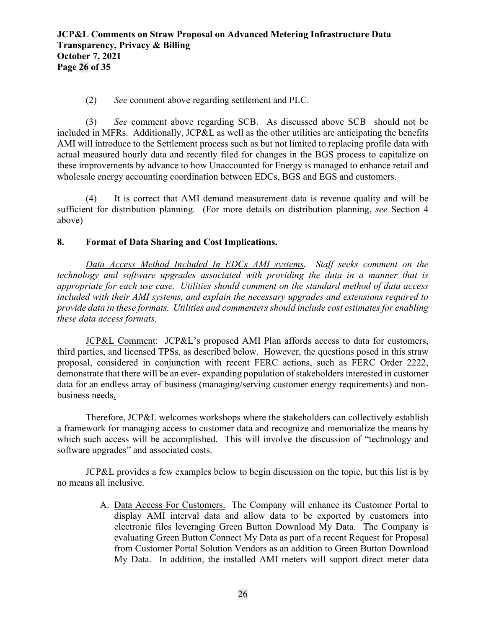## (2) *See* comment above regarding settlement and PLC.

(3) *See* comment above regarding SCB. As discussed above SCB should not be included in MFRs. Additionally, JCP&L as well as the other utilities are anticipating the benefits AMI will introduce to the Settlement process such as but not limited to replacing profile data with actual measured hourly data and recently filed for changes in the BGS process to capitalize on these improvements by advance to how Unaccounted for Energy is managed to enhance retail and wholesale energy accounting coordination between EDCs, BGS and EGS and customers.

(4) It is correct that AMI demand measurement data is revenue quality and will be sufficient for distribution planning. (For more details on distribution planning, *see* Section 4 above)

### **8. Format of Data Sharing and Cost Implications.**

*Data Access Method Included In EDCs AMI systems. Staff seeks comment on the technology and software upgrades associated with providing the data in a manner that is appropriate for each use case. Utilities should comment on the standard method of data access included with their AMI systems, and explain the necessary upgrades and extensions required to provide data in these formats. Utilities and commenters should include cost estimates for enabling these data access formats.*

JCP&L Comment: JCP&L's proposed AMI Plan affords access to data for customers, third parties, and licensed TPSs, as described below. However, the questions posed in this straw proposal, considered in conjunction with recent FERC actions, such as FERC Order 2222, demonstrate that there will be an ever- expanding population of stakeholders interested in customer data for an endless array of business (managing/serving customer energy requirements) and nonbusiness needs.

Therefore, JCP&L welcomes workshops where the stakeholders can collectively establish a framework for managing access to customer data and recognize and memorialize the means by which such access will be accomplished. This will involve the discussion of "technology and software upgrades" and associated costs.

JCP&L provides a few examples below to begin discussion on the topic, but this list is by no means all inclusive.

> A. Data Access For Customers. The Company will enhance its Customer Portal to display AMI interval data and allow data to be exported by customers into electronic files leveraging Green Button Download My Data. The Company is evaluating Green Button Connect My Data as part of a recent Request for Proposal from Customer Portal Solution Vendors as an addition to Green Button Download My Data. In addition, the installed AMI meters will support direct meter data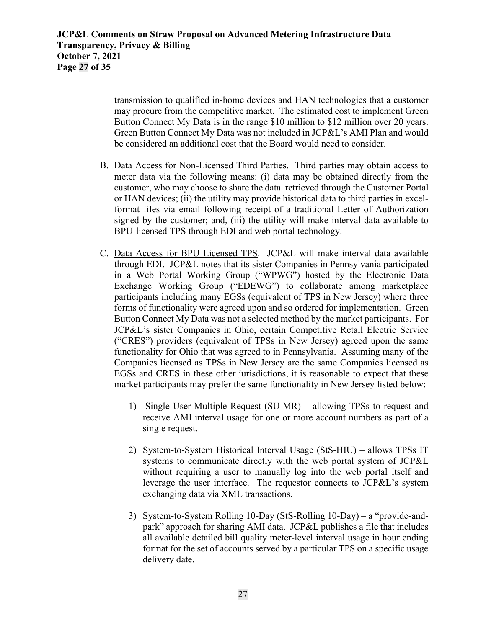transmission to qualified in-home devices and HAN technologies that a customer may procure from the competitive market. The estimated cost to implement Green Button Connect My Data is in the range \$10 million to \$12 million over 20 years. Green Button Connect My Data was not included in JCP&L's AMI Plan and would be considered an additional cost that the Board would need to consider.

- B. Data Access for Non-Licensed Third Parties. Third parties may obtain access to meter data via the following means: (i) data may be obtained directly from the customer, who may choose to share the data retrieved through the Customer Portal or HAN devices; (ii) the utility may provide historical data to third parties in excelformat files via email following receipt of a traditional Letter of Authorization signed by the customer; and, (iii) the utility will make interval data available to BPU-licensed TPS through EDI and web portal technology.
- C. Data Access for BPU Licensed TPS. JCP&L will make interval data available through EDI. JCP&L notes that its sister Companies in Pennsylvania participated in a Web Portal Working Group ("WPWG") hosted by the Electronic Data Exchange Working Group ("EDEWG") to collaborate among marketplace participants including many EGSs (equivalent of TPS in New Jersey) where three forms of functionality were agreed upon and so ordered for implementation. Green Button Connect My Data was not a selected method by the market participants. For JCP&L's sister Companies in Ohio, certain Competitive Retail Electric Service ("CRES") providers (equivalent of TPSs in New Jersey) agreed upon the same functionality for Ohio that was agreed to in Pennsylvania. Assuming many of the Companies licensed as TPSs in New Jersey are the same Companies licensed as EGSs and CRES in these other jurisdictions, it is reasonable to expect that these market participants may prefer the same functionality in New Jersey listed below:
	- 1) Single User-Multiple Request (SU-MR) allowing TPSs to request and receive AMI interval usage for one or more account numbers as part of a single request.
	- 2) System-to-System Historical Interval Usage (StS-HIU) allows TPSs IT systems to communicate directly with the web portal system of JCP&L without requiring a user to manually log into the web portal itself and leverage the user interface. The requestor connects to JCP&L's system exchanging data via XML transactions.
	- 3) System-to-System Rolling 10-Day (StS-Rolling 10-Day) a "provide-andpark" approach for sharing AMI data. JCP&L publishes a file that includes all available detailed bill quality meter-level interval usage in hour ending format for the set of accounts served by a particular TPS on a specific usage delivery date.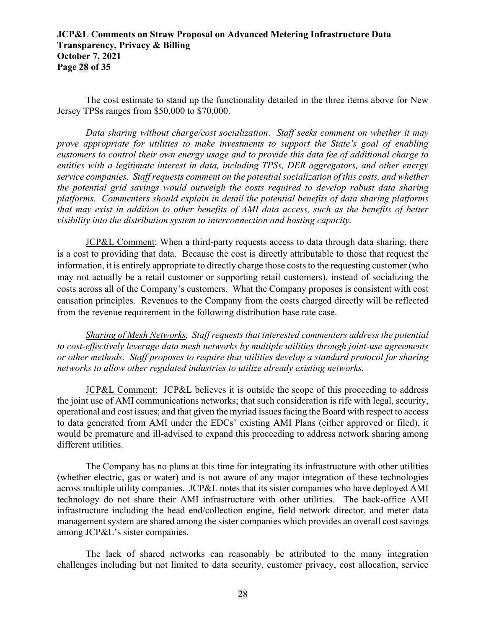## **JCP&L Comments on Straw Proposal on Advanced Metering Infrastructure Data Transparency, Privacy & Billing October 7, 2021 Page 28 of 35**

The cost estimate to stand up the functionality detailed in the three items above for New Jersey TPSs ranges from \$50,000 to \$70,000.

*Data sharing without charge/cost socialization*. *Staff seeks comment on whether it may prove appropriate for utilities to make investments to support the State's goal of enabling customers to control their own energy usage and to provide this data fee of additional charge to entities with a legitimate interest in data, including TPSs, DER aggregators, and other energy service companies. Staff requests comment on the potential socialization of this costs, and whether the potential grid savings would outweigh the costs required to develop robust data sharing platforms. Commenters should explain in detail the potential benefits of data sharing platforms that may exist in addition to other benefits of AMI data access, such as the benefits of better visibility into the distribution system to interconnection and hosting capacity.* 

JCP&L Comment: When a third-party requests access to data through data sharing, there is a cost to providing that data. Because the cost is directly attributable to those that request the information, it is entirely appropriate to directly charge those costs to the requesting customer (who may not actually be a retail customer or supporting retail customers), instead of socializing the costs across all of the Company's customers. What the Company proposes is consistent with cost causation principles. Revenues to the Company from the costs charged directly will be reflected from the revenue requirement in the following distribution base rate case.

*Sharing of Mesh Networks. Staff requests that interested commenters address the potential to cost-effectively leverage data mesh networks by multiple utilities through joint-use agreements or other methods. Staff proposes to require that utilities develop a standard protocol for sharing networks to allow other regulated industries to utilize already existing networks.*

JCP&L Comment: JCP&L believes it is outside the scope of this proceeding to address the joint use of AMI communications networks; that such consideration is rife with legal, security, operational and cost issues; and that given the myriad issues facing the Board with respect to access to data generated from AMI under the EDCs' existing AMI Plans (either approved or filed), it would be premature and ill-advised to expand this proceeding to address network sharing among different utilities.

The Company has no plans at this time for integrating its infrastructure with other utilities (whether electric, gas or water) and is not aware of any major integration of these technologies across multiple utility companies. JCP&L notes that its sister companies who have deployed AMI technology do not share their AMI infrastructure with other utilities. The back-office AMI infrastructure including the head end/collection engine, field network director, and meter data management system are shared among the sister companies which provides an overall cost savings among JCP&L's sister companies.

The lack of shared networks can reasonably be attributed to the many integration challenges including but not limited to data security, customer privacy, cost allocation, service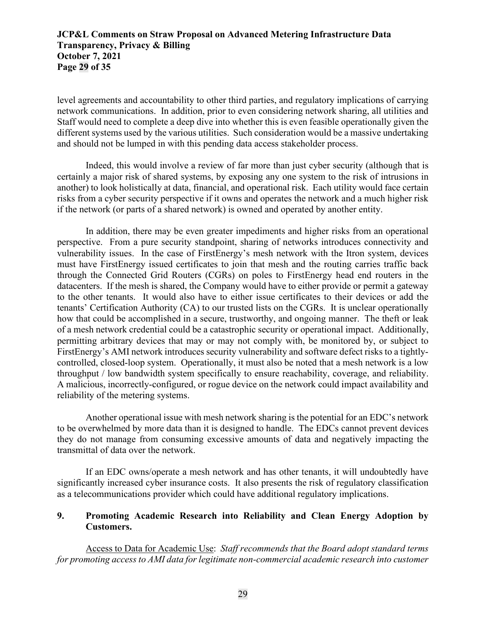# **JCP&L Comments on Straw Proposal on Advanced Metering Infrastructure Data Transparency, Privacy & Billing October 7, 2021 Page 29 of 35**

level agreements and accountability to other third parties, and regulatory implications of carrying network communications. In addition, prior to even considering network sharing, all utilities and Staff would need to complete a deep dive into whether this is even feasible operationally given the different systems used by the various utilities. Such consideration would be a massive undertaking and should not be lumped in with this pending data access stakeholder process.

Indeed, this would involve a review of far more than just cyber security (although that is certainly a major risk of shared systems, by exposing any one system to the risk of intrusions in another) to look holistically at data, financial, and operational risk. Each utility would face certain risks from a cyber security perspective if it owns and operates the network and a much higher risk if the network (or parts of a shared network) is owned and operated by another entity.

In addition, there may be even greater impediments and higher risks from an operational perspective. From a pure security standpoint, sharing of networks introduces connectivity and vulnerability issues. In the case of FirstEnergy's mesh network with the Itron system, devices must have FirstEnergy issued certificates to join that mesh and the routing carries traffic back through the Connected Grid Routers (CGRs) on poles to FirstEnergy head end routers in the datacenters. If the mesh is shared, the Company would have to either provide or permit a gateway to the other tenants. It would also have to either issue certificates to their devices or add the tenants' Certification Authority (CA) to our trusted lists on the CGRs. It is unclear operationally how that could be accomplished in a secure, trustworthy, and ongoing manner. The theft or leak of a mesh network credential could be a catastrophic security or operational impact. Additionally, permitting arbitrary devices that may or may not comply with, be monitored by, or subject to FirstEnergy's AMI network introduces security vulnerability and software defect risks to a tightlycontrolled, closed-loop system. Operationally, it must also be noted that a mesh network is a low throughput / low bandwidth system specifically to ensure reachability, coverage, and reliability. A malicious, incorrectly-configured, or rogue device on the network could impact availability and reliability of the metering systems.

Another operational issue with mesh network sharing is the potential for an EDC's network to be overwhelmed by more data than it is designed to handle. The EDCs cannot prevent devices they do not manage from consuming excessive amounts of data and negatively impacting the transmittal of data over the network.

If an EDC owns/operate a mesh network and has other tenants, it will undoubtedly have significantly increased cyber insurance costs. It also presents the risk of regulatory classification as a telecommunications provider which could have additional regulatory implications.

## **9. Promoting Academic Research into Reliability and Clean Energy Adoption by Customers.**

Access to Data for Academic Use: *Staff recommends that the Board adopt standard terms for promoting access to AMI data for legitimate non-commercial academic research into customer*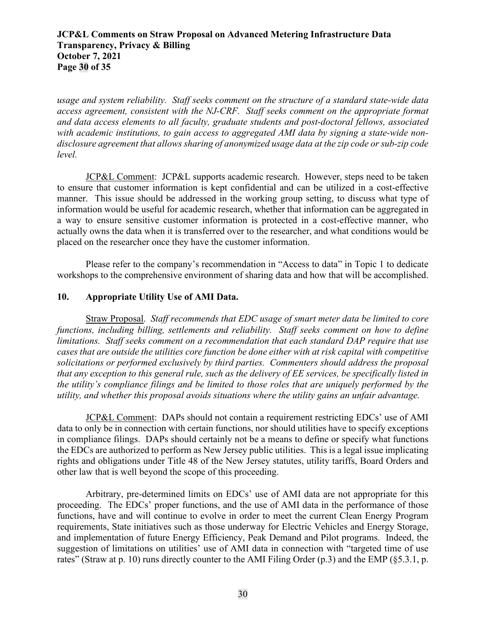# **JCP&L Comments on Straw Proposal on Advanced Metering Infrastructure Data Transparency, Privacy & Billing October 7, 2021 Page 30 of 35**

*usage and system reliability. Staff seeks comment on the structure of a standard state-wide data access agreement, consistent with the NJ-CRF. Staff seeks comment on the appropriate format and data access elements to all faculty, graduate students and post-doctoral fellows, associated with academic institutions, to gain access to aggregated AMI data by signing a state-wide nondisclosure agreement that allows sharing of anonymized usage data at the zip code or sub-zip code level.*

JCP&L Comment: JCP&L supports academic research. However, steps need to be taken to ensure that customer information is kept confidential and can be utilized in a cost-effective manner. This issue should be addressed in the working group setting, to discuss what type of information would be useful for academic research, whether that information can be aggregated in a way to ensure sensitive customer information is protected in a cost-effective manner, who actually owns the data when it is transferred over to the researcher, and what conditions would be placed on the researcher once they have the customer information.

Please refer to the company's recommendation in "Access to data" in Topic 1 to dedicate workshops to the comprehensive environment of sharing data and how that will be accomplished.

### **10. Appropriate Utility Use of AMI Data.**

Straw Proposal. *Staff recommends that EDC usage of smart meter data be limited to core functions, including billing, settlements and reliability. Staff seeks comment on how to define limitations. Staff seeks comment on a recommendation that each standard DAP require that use cases that are outside the utilities core function be done either with at risk capital with competitive solicitations or performed exclusively by third parties. Commenters should address the proposal that any exception to this general rule, such as the delivery of EE services, be specifically listed in the utility's compliance filings and be limited to those roles that are uniquely performed by the utility, and whether this proposal avoids situations where the utility gains an unfair advantage.*

JCP&L Comment: DAPs should not contain a requirement restricting EDCs' use of AMI data to only be in connection with certain functions, nor should utilities have to specify exceptions in compliance filings. DAPs should certainly not be a means to define or specify what functions the EDCs are authorized to perform as New Jersey public utilities. This is a legal issue implicating rights and obligations under Title 48 of the New Jersey statutes, utility tariffs, Board Orders and other law that is well beyond the scope of this proceeding.

Arbitrary, pre-determined limits on EDCs' use of AMI data are not appropriate for this proceeding. The EDCs' proper functions, and the use of AMI data in the performance of those functions, have and will continue to evolve in order to meet the current Clean Energy Program requirements, State initiatives such as those underway for Electric Vehicles and Energy Storage, and implementation of future Energy Efficiency, Peak Demand and Pilot programs. Indeed, the suggestion of limitations on utilities' use of AMI data in connection with "targeted time of use rates" (Straw at p. 10) runs directly counter to the AMI Filing Order (p.3) and the EMP (§5.3.1, p.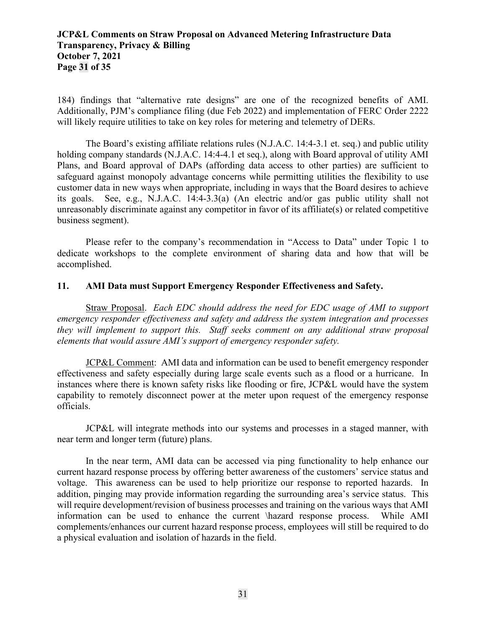# **JCP&L Comments on Straw Proposal on Advanced Metering Infrastructure Data Transparency, Privacy & Billing October 7, 2021 Page 31 of 35**

184) findings that "alternative rate designs" are one of the recognized benefits of AMI. Additionally, PJM's compliance filing (due Feb 2022) and implementation of FERC Order 2222 will likely require utilities to take on key roles for metering and telemetry of DERs.

The Board's existing affiliate relations rules (N.J.A.C. 14:4-3.1 et. seq.) and public utility holding company standards (N.J.A.C. 14:4-4.1 et seq.), along with Board approval of utility AMI Plans, and Board approval of DAPs (affording data access to other parties) are sufficient to safeguard against monopoly advantage concerns while permitting utilities the flexibility to use customer data in new ways when appropriate, including in ways that the Board desires to achieve its goals. See, e.g., N.J.A.C. 14:4-3.3(a) (An electric and/or gas public utility shall not unreasonably discriminate against any competitor in favor of its affiliate(s) or related competitive business segment).

Please refer to the company's recommendation in "Access to Data" under Topic 1 to dedicate workshops to the complete environment of sharing data and how that will be accomplished.

#### **11. AMI Data must Support Emergency Responder Effectiveness and Safety.**

Straw Proposal. *Each EDC should address the need for EDC usage of AMI to support emergency responder effectiveness and safety and address the system integration and processes they will implement to support this. Staff seeks comment on any additional straw proposal elements that would assure AMI's support of emergency responder safety.*

JCP&L Comment: AMI data and information can be used to benefit emergency responder effectiveness and safety especially during large scale events such as a flood or a hurricane. In instances where there is known safety risks like flooding or fire, JCP&L would have the system capability to remotely disconnect power at the meter upon request of the emergency response officials.

JCP&L will integrate methods into our systems and processes in a staged manner, with near term and longer term (future) plans.

In the near term, AMI data can be accessed via ping functionality to help enhance our current hazard response process by offering better awareness of the customers' service status and voltage. This awareness can be used to help prioritize our response to reported hazards. In addition, pinging may provide information regarding the surrounding area's service status. This will require development/revision of business processes and training on the various ways that AMI information can be used to enhance the current \hazard response process. While AMI complements/enhances our current hazard response process, employees will still be required to do a physical evaluation and isolation of hazards in the field.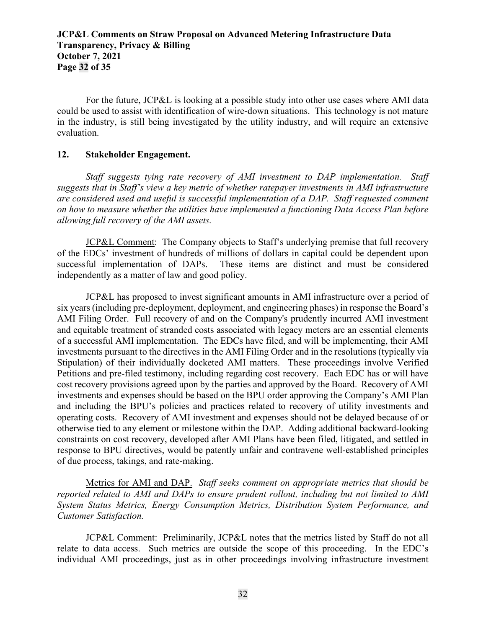For the future, JCP&L is looking at a possible study into other use cases where AMI data could be used to assist with identification of wire-down situations. This technology is not mature in the industry, is still being investigated by the utility industry, and will require an extensive evaluation.

#### **12. Stakeholder Engagement.**

*Staff suggests tying rate recovery of AMI investment to DAP implementation. Staff suggests that in Staff's view a key metric of whether ratepayer investments in AMI infrastructure are considered used and useful is successful implementation of a DAP. Staff requested comment on how to measure whether the utilities have implemented a functioning Data Access Plan before allowing full recovery of the AMI assets.*

JCP&L Comment: The Company objects to Staff's underlying premise that full recovery of the EDCs' investment of hundreds of millions of dollars in capital could be dependent upon successful implementation of DAPs. These items are distinct and must be considered independently as a matter of law and good policy.

JCP&L has proposed to invest significant amounts in AMI infrastructure over a period of six years (including pre-deployment, deployment, and engineering phases) in response the Board's AMI Filing Order. Full recovery of and on the Company's prudently incurred AMI investment and equitable treatment of stranded costs associated with legacy meters are an essential elements of a successful AMI implementation. The EDCs have filed, and will be implementing, their AMI investments pursuant to the directives in the AMI Filing Order and in the resolutions (typically via Stipulation) of their individually docketed AMI matters. These proceedings involve Verified Petitions and pre-filed testimony, including regarding cost recovery. Each EDC has or will have cost recovery provisions agreed upon by the parties and approved by the Board. Recovery of AMI investments and expenses should be based on the BPU order approving the Company's AMI Plan and including the BPU's policies and practices related to recovery of utility investments and operating costs. Recovery of AMI investment and expenses should not be delayed because of or otherwise tied to any element or milestone within the DAP. Adding additional backward-looking constraints on cost recovery, developed after AMI Plans have been filed, litigated, and settled in response to BPU directives, would be patently unfair and contravene well-established principles of due process, takings, and rate-making.

Metrics for AMI and DAP. *Staff seeks comment on appropriate metrics that should be reported related to AMI and DAPs to ensure prudent rollout, including but not limited to AMI System Status Metrics, Energy Consumption Metrics, Distribution System Performance, and Customer Satisfaction.* 

JCP&L Comment: Preliminarily, JCP&L notes that the metrics listed by Staff do not all relate to data access. Such metrics are outside the scope of this proceeding. In the EDC's individual AMI proceedings, just as in other proceedings involving infrastructure investment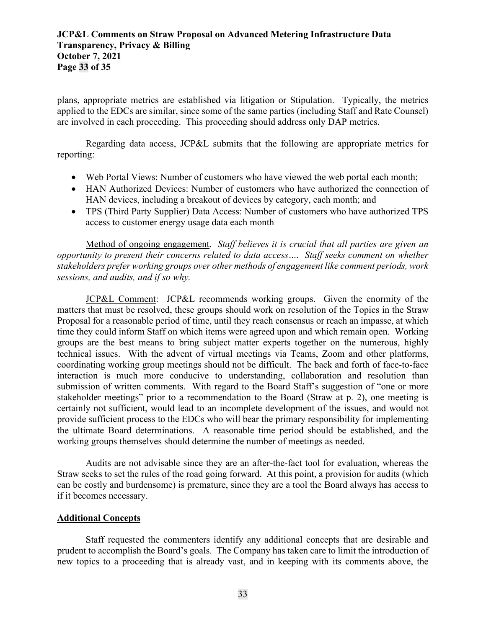# **JCP&L Comments on Straw Proposal on Advanced Metering Infrastructure Data Transparency, Privacy & Billing October 7, 2021 Page 33 of 35**

plans, appropriate metrics are established via litigation or Stipulation. Typically, the metrics applied to the EDCs are similar, since some of the same parties (including Staff and Rate Counsel) are involved in each proceeding. This proceeding should address only DAP metrics.

Regarding data access, JCP&L submits that the following are appropriate metrics for reporting:

- Web Portal Views: Number of customers who have viewed the web portal each month;
- HAN Authorized Devices: Number of customers who have authorized the connection of HAN devices, including a breakout of devices by category, each month; and
- TPS (Third Party Supplier) Data Access: Number of customers who have authorized TPS access to customer energy usage data each month

Method of ongoing engagement. *Staff believes it is crucial that all parties are given an opportunity to present their concerns related to data access…. Staff seeks comment on whether stakeholders prefer working groups over other methods of engagement like comment periods, work sessions, and audits, and if so why.* 

JCP&L Comment: JCP&L recommends working groups. Given the enormity of the matters that must be resolved, these groups should work on resolution of the Topics in the Straw Proposal for a reasonable period of time, until they reach consensus or reach an impasse, at which time they could inform Staff on which items were agreed upon and which remain open. Working groups are the best means to bring subject matter experts together on the numerous, highly technical issues. With the advent of virtual meetings via Teams, Zoom and other platforms, coordinating working group meetings should not be difficult. The back and forth of face-to-face interaction is much more conducive to understanding, collaboration and resolution than submission of written comments. With regard to the Board Staff's suggestion of "one or more stakeholder meetings" prior to a recommendation to the Board (Straw at p. 2), one meeting is certainly not sufficient, would lead to an incomplete development of the issues, and would not provide sufficient process to the EDCs who will bear the primary responsibility for implementing the ultimate Board determinations. A reasonable time period should be established, and the working groups themselves should determine the number of meetings as needed.

Audits are not advisable since they are an after-the-fact tool for evaluation, whereas the Straw seeks to set the rules of the road going forward. At this point, a provision for audits (which can be costly and burdensome) is premature, since they are a tool the Board always has access to if it becomes necessary.

#### **Additional Concepts**

Staff requested the commenters identify any additional concepts that are desirable and prudent to accomplish the Board's goals. The Company has taken care to limit the introduction of new topics to a proceeding that is already vast, and in keeping with its comments above, the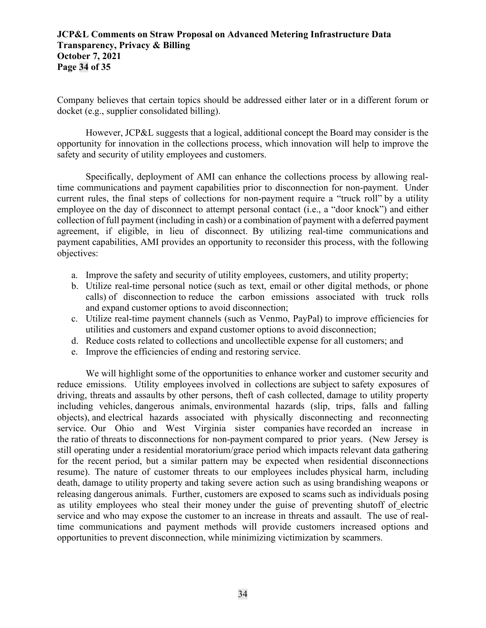# **JCP&L Comments on Straw Proposal on Advanced Metering Infrastructure Data Transparency, Privacy & Billing October 7, 2021 Page 34 of 35**

Company believes that certain topics should be addressed either later or in a different forum or docket (e.g., supplier consolidated billing).

However, JCP&L suggests that a logical, additional concept the Board may consider is the opportunity for innovation in the collections process, which innovation will help to improve the safety and security of utility employees and customers.

Specifically, deployment of AMI can enhance the collections process by allowing realtime communications and payment capabilities prior to disconnection for non-payment. Under current rules, the final steps of collections for non-payment require a "truck roll" by a utility employee on the day of disconnect to attempt personal contact (i.e., a "door knock") and either collection of full payment (including in cash) or a combination of payment with a deferred payment agreement, if eligible, in lieu of disconnect. By utilizing real-time communications and payment capabilities, AMI provides an opportunity to reconsider this process, with the following objectives:

- a. Improve the safety and security of utility employees, customers, and utility property;
- b. Utilize real-time personal notice (such as text, email or other digital methods, or phone calls) of disconnection to reduce the carbon emissions associated with truck rolls and expand customer options to avoid disconnection;
- c. Utilize real-time payment channels (such as Venmo, PayPal) to improve efficiencies for utilities and customers and expand customer options to avoid disconnection;
- d. Reduce costs related to collections and uncollectible expense for all customers; and
- e. Improve the efficiencies of ending and restoring service.

We will highlight some of the opportunities to enhance worker and customer security and reduce emissions. Utility employees involved in collections are subject to safety exposures of driving, threats and assaults by other persons, theft of cash collected, damage to utility property including vehicles, dangerous animals, environmental hazards (slip, trips, falls and falling objects), and electrical hazards associated with physically disconnecting and reconnecting service. Our Ohio and West Virginia sister companies have recorded an increase in the ratio of threats to disconnections for non-payment compared to prior years. (New Jersey is still operating under a residential moratorium/grace period which impacts relevant data gathering for the recent period, but a similar pattern may be expected when residential disconnections resume). The nature of customer threats to our employees includes physical harm, including death, damage to utility property and taking severe action such as using brandishing weapons or releasing dangerous animals. Further, customers are exposed to scams such as individuals posing as utility employees who steal their money under the guise of preventing shutoff of electric service and who may expose the customer to an increase in threats and assault. The use of realtime communications and payment methods will provide customers increased options and opportunities to prevent disconnection, while minimizing victimization by scammers.